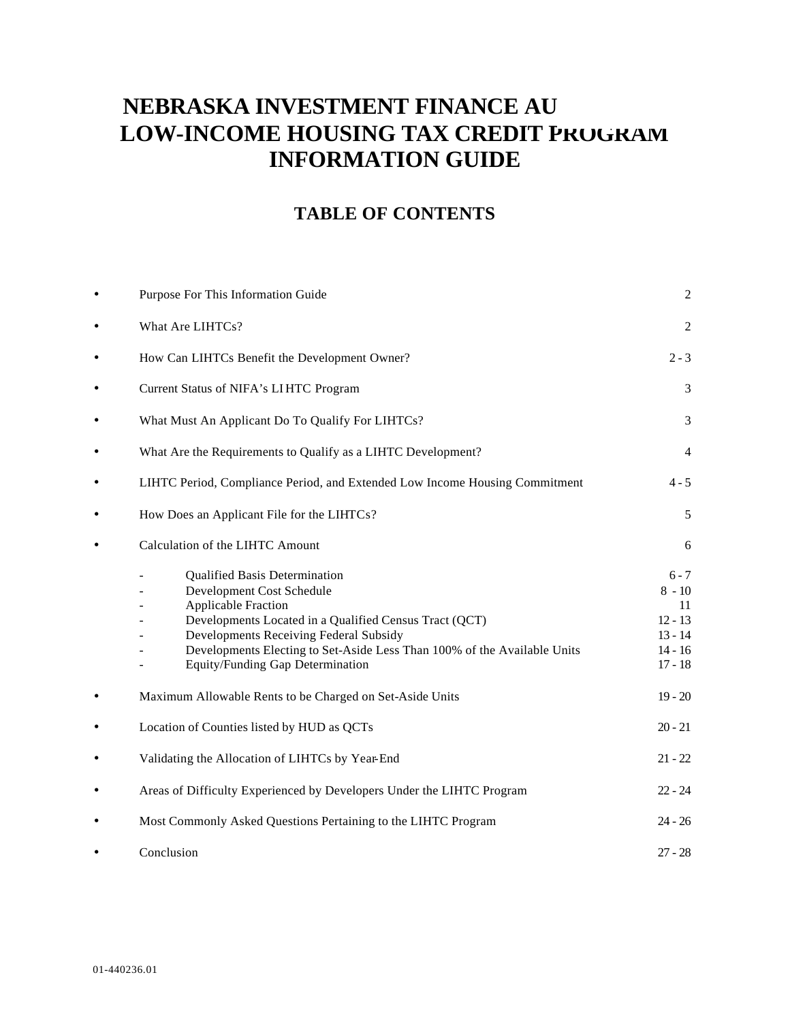# **NEBRASKA INVESTMENT FINANCE AU LOW-INCOME HOUSING TAX CREDIT PROGRAM INFORMATION GUIDE**

## **TABLE OF CONTENTS**

| $\bullet$ | Purpose For This Information Guide                                                                                                                                                                                                                                                                                  | $\overline{c}$                                                                |
|-----------|---------------------------------------------------------------------------------------------------------------------------------------------------------------------------------------------------------------------------------------------------------------------------------------------------------------------|-------------------------------------------------------------------------------|
| $\bullet$ | What Are LIHTCs?                                                                                                                                                                                                                                                                                                    | $\overline{2}$                                                                |
| $\bullet$ | How Can LIHTCs Benefit the Development Owner?                                                                                                                                                                                                                                                                       | $2 - 3$                                                                       |
| ٠         | Current Status of NIFA's LIHTC Program                                                                                                                                                                                                                                                                              | 3                                                                             |
| $\bullet$ | What Must An Applicant Do To Qualify For LIHTCs?                                                                                                                                                                                                                                                                    | 3                                                                             |
| $\bullet$ | What Are the Requirements to Qualify as a LIHTC Development?                                                                                                                                                                                                                                                        | $\overline{4}$                                                                |
| $\bullet$ | LIHTC Period, Compliance Period, and Extended Low Income Housing Commitment                                                                                                                                                                                                                                         | $4 - 5$                                                                       |
| $\bullet$ | How Does an Applicant File for the LIHTCs?                                                                                                                                                                                                                                                                          | 5                                                                             |
| $\bullet$ | Calculation of the LIHTC Amount                                                                                                                                                                                                                                                                                     | 6                                                                             |
|           | <b>Qualified Basis Determination</b><br>Development Cost Schedule<br><b>Applicable Fraction</b><br>Developments Located in a Qualified Census Tract (QCT)<br>Developments Receiving Federal Subsidy<br>Developments Electing to Set-Aside Less Than 100% of the Available Units<br>Equity/Funding Gap Determination | $6 - 7$<br>$8 - 10$<br>11<br>$12 - 13$<br>$13 - 14$<br>$14 - 16$<br>$17 - 18$ |
| $\bullet$ | Maximum Allowable Rents to be Charged on Set-Aside Units                                                                                                                                                                                                                                                            | $19 - 20$                                                                     |
| $\bullet$ | Location of Counties listed by HUD as QCTs                                                                                                                                                                                                                                                                          | $20 - 21$                                                                     |
| $\bullet$ | Validating the Allocation of LIHTCs by Year-End                                                                                                                                                                                                                                                                     | $21 - 22$                                                                     |
| $\bullet$ | Areas of Difficulty Experienced by Developers Under the LIHTC Program                                                                                                                                                                                                                                               | $22 - 24$                                                                     |
|           | Most Commonly Asked Questions Pertaining to the LIHTC Program                                                                                                                                                                                                                                                       | $24 - 26$                                                                     |
|           | Conclusion                                                                                                                                                                                                                                                                                                          | $27 - 28$                                                                     |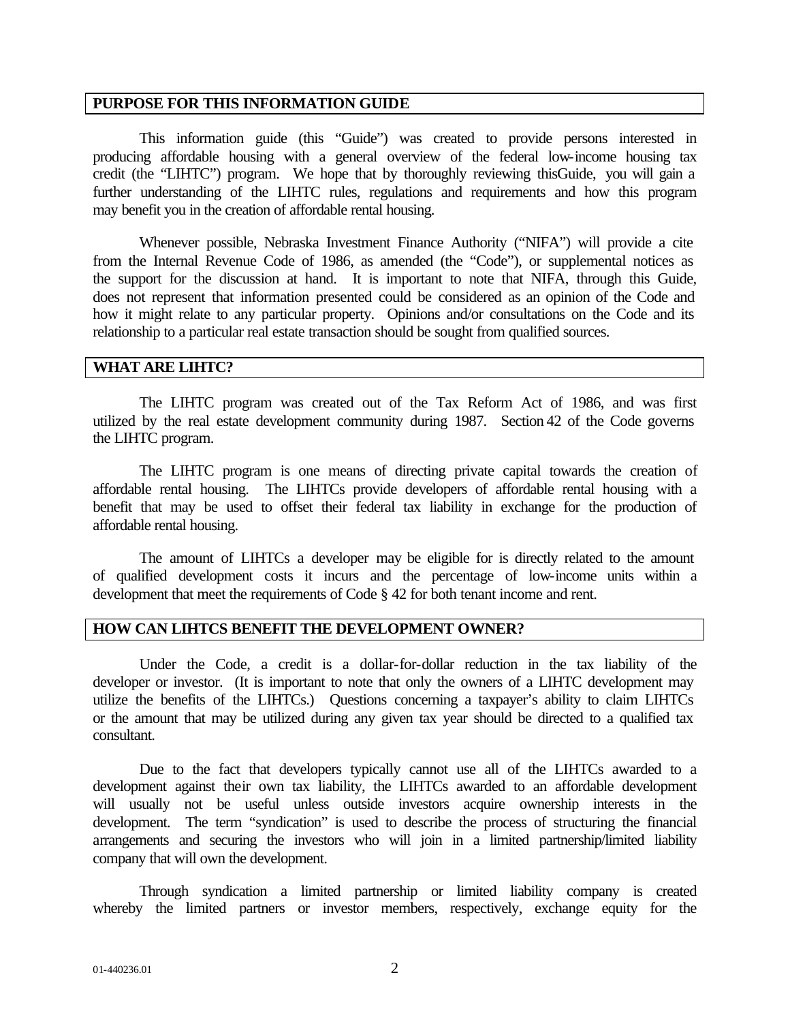#### **PURPOSE FOR THIS INFORMATION GUIDE**

This information guide (this "Guide") was created to provide persons interested in producing affordable housing with a general overview of the federal low-income housing tax credit (the "LIHTC") program. We hope that by thoroughly reviewing thisGuide, you will gain a further understanding of the LIHTC rules, regulations and requirements and how this program may benefit you in the creation of affordable rental housing.

Whenever possible, Nebraska Investment Finance Authority ("NIFA") will provide a cite from the Internal Revenue Code of 1986, as amended (the "Code"), or supplemental notices as the support for the discussion at hand. It is important to note that NIFA, through this Guide, does not represent that information presented could be considered as an opinion of the Code and how it might relate to any particular property. Opinions and/or consultations on the Code and its relationship to a particular real estate transaction should be sought from qualified sources.

#### **WHAT ARE LIHTC?**

The LIHTC program was created out of the Tax Reform Act of 1986, and was first utilized by the real estate development community during 1987. Section 42 of the Code governs the LIHTC program.

The LIHTC program is one means of directing private capital towards the creation of affordable rental housing. The LIHTCs provide developers of affordable rental housing with a benefit that may be used to offset their federal tax liability in exchange for the production of affordable rental housing.

The amount of LIHTCs a developer may be eligible for is directly related to the amount of qualified development costs it incurs and the percentage of low-income units within a development that meet the requirements of Code § 42 for both tenant income and rent.

## **HOW CAN LIHTCS BENEFIT THE DEVELOPMENT OWNER?**

Under the Code, a credit is a dollar-for-dollar reduction in the tax liability of the developer or investor. (It is important to note that only the owners of a LIHTC development may utilize the benefits of the LIHTCs.) Questions concerning a taxpayer's ability to claim LIHTCs or the amount that may be utilized during any given tax year should be directed to a qualified tax consultant.

Due to the fact that developers typically cannot use all of the LIHTCs awarded to a development against their own tax liability, the LIHTCs awarded to an affordable development will usually not be useful unless outside investors acquire ownership interests in the development. The term "syndication" is used to describe the process of structuring the financial arrangements and securing the investors who will join in a limited partnership/limited liability company that will own the development.

Through syndication a limited partnership or limited liability company is created whereby the limited partners or investor members, respectively, exchange equity for the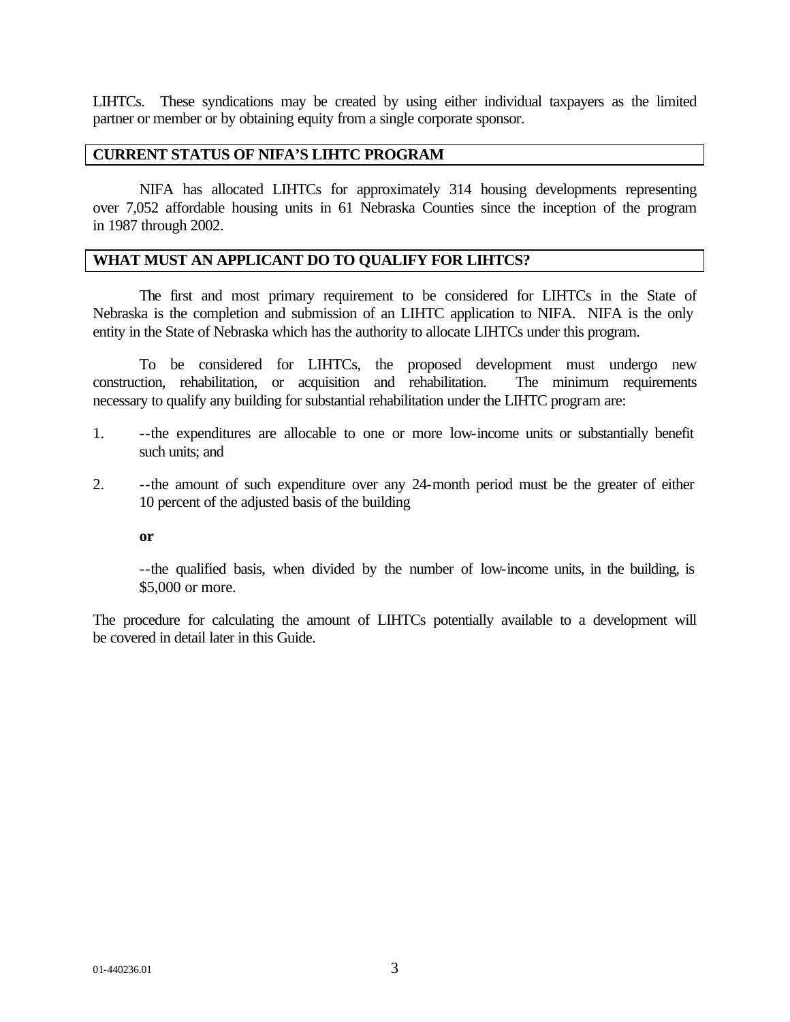LIHTCs. These syndications may be created by using either individual taxpayers as the limited partner or member or by obtaining equity from a single corporate sponsor.

#### **CURRENT STATUS OF NIFA'S LIHTC PROGRAM**

NIFA has allocated LIHTCs for approximately 314 housing developments representing over 7,052 affordable housing units in 61 Nebraska Counties since the inception of the program in 1987 through 2002.

## **WHAT MUST AN APPLICANT DO TO QUALIFY FOR LIHTCS?**

The first and most primary requirement to be considered for LIHTCs in the State of Nebraska is the completion and submission of an LIHTC application to NIFA. NIFA is the only entity in the State of Nebraska which has the authority to allocate LIHTCs under this program.

To be considered for LIHTCs, the proposed development must undergo new construction, rehabilitation, or acquisition and rehabilitation. The minimum requirements necessary to qualify any building for substantial rehabilitation under the LIHTC program are:

- 1. --the expenditures are allocable to one or more low-income units or substantially benefit such units; and
- 2. --the amount of such expenditure over any 24-month period must be the greater of either 10 percent of the adjusted basis of the building

**or**

--the qualified basis, when divided by the number of low-income units, in the building, is \$5,000 or more.

The procedure for calculating the amount of LIHTCs potentially available to a development will be covered in detail later in this Guide.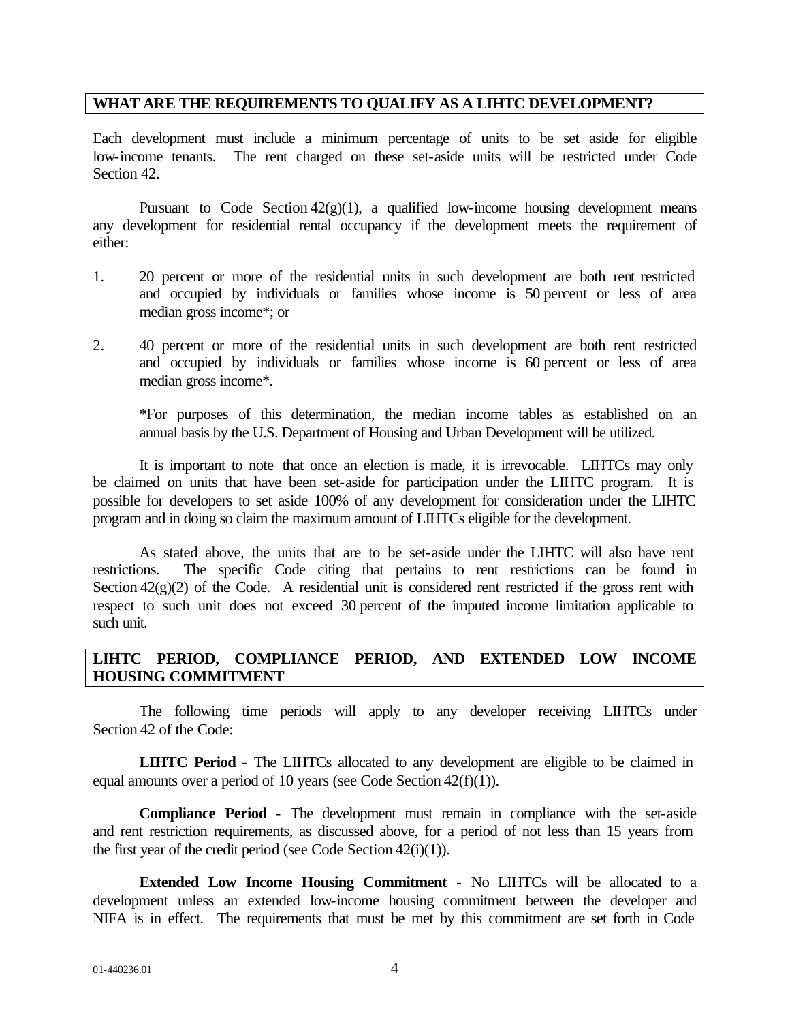### **WHAT ARE THE REQUIREMENTS TO QUALIFY AS A LIHTC DEVELOPMENT?**

Each development must include a minimum percentage of units to be set aside for eligible low-income tenants. The rent charged on these set-aside units will be restricted under Code Section 42.

Pursuant to Code Section  $42(g)(1)$ , a qualified low-income housing development means any development for residential rental occupancy if the development meets the requirement of either:

- 1. 20 percent or more of the residential units in such development are both rent restricted and occupied by individuals or families whose income is 50 percent or less of area median gross income\*; or
- 2. 40 percent or more of the residential units in such development are both rent restricted and occupied by individuals or families whose income is 60 percent or less of area median gross income\*.

\*For purposes of this determination, the median income tables as established on an annual basis by the U.S. Department of Housing and Urban Development will be utilized.

It is important to note that once an election is made, it is irrevocable. LIHTCs may only be claimed on units that have been set-aside for participation under the LIHTC program. It is possible for developers to set aside 100% of any development for consideration under the LIHTC program and in doing so claim the maximum amount of LIHTCs eligible for the development.

As stated above, the units that are to be set-aside under the LIHTC will also have rent restrictions. The specific Code citing that pertains to rent restrictions can be found in Section  $42(g)(2)$  of the Code. A residential unit is considered rent restricted if the gross rent with respect to such unit does not exceed 30 percent of the imputed income limitation applicable to such unit.

## **LIHTC PERIOD, COMPLIANCE PERIOD, AND EXTENDED LOW INCOME HOUSING COMMITMENT**

The following time periods will apply to any developer receiving LIHTCs under Section 42 of the Code:

**LIHTC Period** - The LIHTCs allocated to any development are eligible to be claimed in equal amounts over a period of 10 years (see Code Section 42(f)(1)).

**Compliance Period** - The development must remain in compliance with the set-aside and rent restriction requirements, as discussed above, for a period of not less than 15 years from the first year of the credit period (see Code Section 42(i)(1)).

**Extended Low Income Housing Commitment** - No LIHTCs will be allocated to a development unless an extended low-income housing commitment between the developer and NIFA is in effect. The requirements that must be met by this commitment are set forth in Code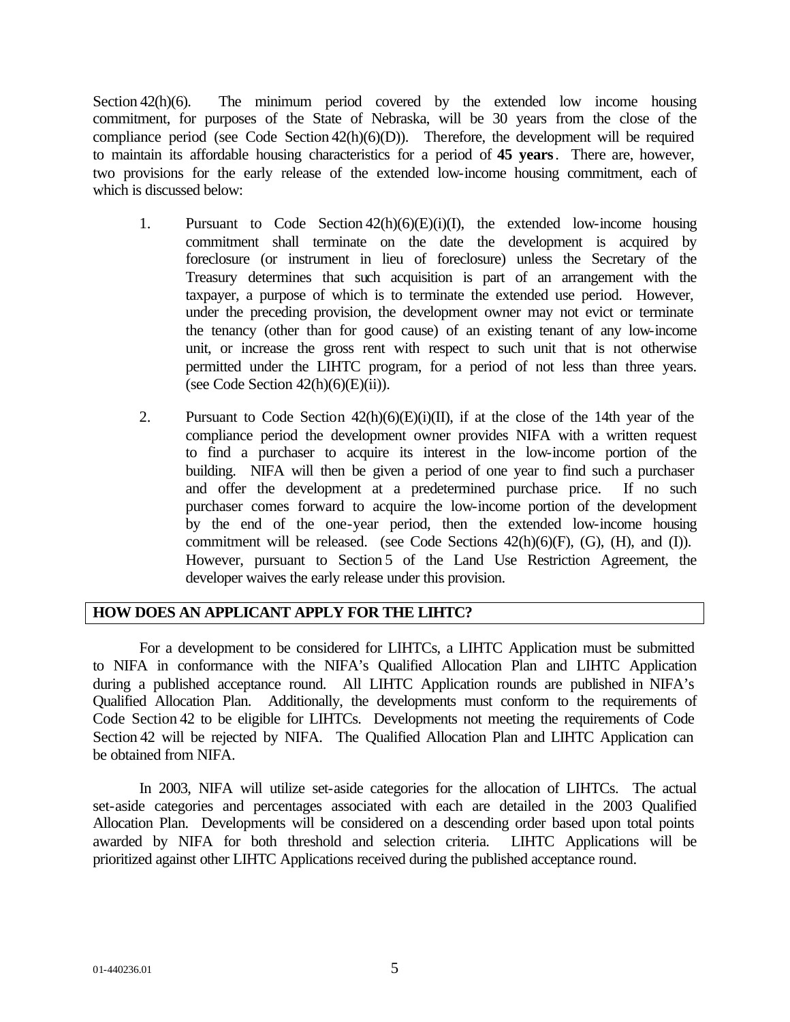Section 42(h)(6). The minimum period covered by the extended low income housing commitment, for purposes of the State of Nebraska, will be 30 years from the close of the compliance period (see Code Section 42(h)(6)(D)). Therefore, the development will be required to maintain its affordable housing characteristics for a period of **45 years**. There are, however, two provisions for the early release of the extended low-income housing commitment, each of which is discussed below:

- 1. Pursuant to Code Section  $42(h)(6)(E)(i)(I)$ , the extended low-income housing commitment shall terminate on the date the development is acquired by foreclosure (or instrument in lieu of foreclosure) unless the Secretary of the Treasury determines that such acquisition is part of an arrangement with the taxpayer, a purpose of which is to terminate the extended use period. However, under the preceding provision, the development owner may not evict or terminate the tenancy (other than for good cause) of an existing tenant of any low-income unit, or increase the gross rent with respect to such unit that is not otherwise permitted under the LIHTC program, for a period of not less than three years. (see Code Section  $42(h)(6)(E)(ii)$ ).
- 2. Pursuant to Code Section  $42(h)(6)(E)(i)(II)$ , if at the close of the 14th year of the compliance period the development owner provides NIFA with a written request to find a purchaser to acquire its interest in the low-income portion of the building. NIFA will then be given a period of one year to find such a purchaser and offer the development at a predetermined purchase price. If no such purchaser comes forward to acquire the low-income portion of the development by the end of the one-year period, then the extended low-income housing commitment will be released. (see Code Sections  $42(h)(6)(F)$ ,  $(G)$ ,  $(H)$ , and  $(I)$ ). However, pursuant to Section 5 of the Land Use Restriction Agreement, the developer waives the early release under this provision.

## **HOW DOES AN APPLICANT APPLY FOR THE LIHTC?**

For a development to be considered for LIHTCs, a LIHTC Application must be submitted to NIFA in conformance with the NIFA's Qualified Allocation Plan and LIHTC Application during a published acceptance round. All LIHTC Application rounds are published in NIFA's Qualified Allocation Plan. Additionally, the developments must conform to the requirements of Code Section 42 to be eligible for LIHTCs. Developments not meeting the requirements of Code Section 42 will be rejected by NIFA. The Qualified Allocation Plan and LIHTC Application can be obtained from NIFA.

In 2003, NIFA will utilize set-aside categories for the allocation of LIHTCs. The actual set-aside categories and percentages associated with each are detailed in the 2003 Qualified Allocation Plan. Developments will be considered on a descending order based upon total points awarded by NIFA for both threshold and selection criteria. LIHTC Applications will be prioritized against other LIHTC Applications received during the published acceptance round.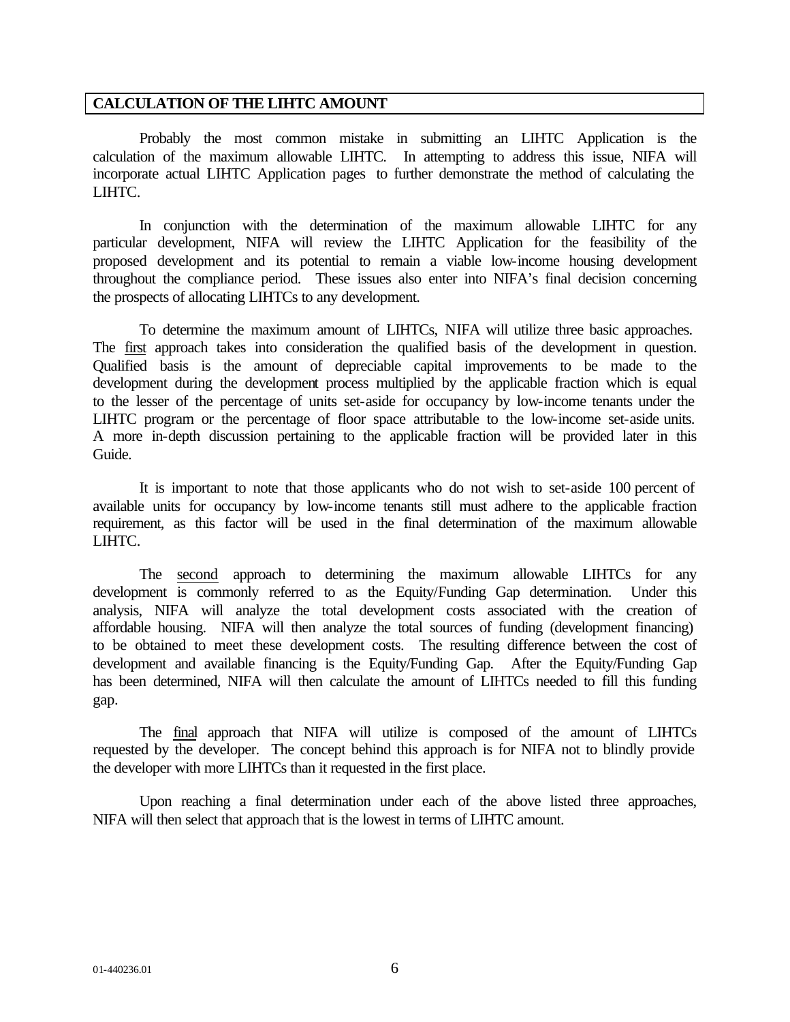#### **CALCULATION OF THE LIHTC AMOUNT**

Probably the most common mistake in submitting an LIHTC Application is the calculation of the maximum allowable LIHTC. In attempting to address this issue, NIFA will incorporate actual LIHTC Application pages to further demonstrate the method of calculating the LIHTC.

In conjunction with the determination of the maximum allowable LIHTC for any particular development, NIFA will review the LIHTC Application for the feasibility of the proposed development and its potential to remain a viable low-income housing development throughout the compliance period. These issues also enter into NIFA's final decision concerning the prospects of allocating LIHTCs to any development.

To determine the maximum amount of LIHTCs, NIFA will utilize three basic approaches. The first approach takes into consideration the qualified basis of the development in question. Qualified basis is the amount of depreciable capital improvements to be made to the development during the development process multiplied by the applicable fraction which is equal to the lesser of the percentage of units set-aside for occupancy by low-income tenants under the LIHTC program or the percentage of floor space attributable to the low-income set-aside units. A more in-depth discussion pertaining to the applicable fraction will be provided later in this Guide.

It is important to note that those applicants who do not wish to set-aside 100 percent of available units for occupancy by low-income tenants still must adhere to the applicable fraction requirement, as this factor will be used in the final determination of the maximum allowable LIHTC.

The second approach to determining the maximum allowable LIHTCs for any development is commonly referred to as the Equity/Funding Gap determination. Under this analysis, NIFA will analyze the total development costs associated with the creation of affordable housing. NIFA will then analyze the total sources of funding (development financing) to be obtained to meet these development costs. The resulting difference between the cost of development and available financing is the Equity/Funding Gap. After the Equity/Funding Gap has been determined, NIFA will then calculate the amount of LIHTCs needed to fill this funding gap.

The final approach that NIFA will utilize is composed of the amount of LIHTCs requested by the developer. The concept behind this approach is for NIFA not to blindly provide the developer with more LIHTCs than it requested in the first place.

Upon reaching a final determination under each of the above listed three approaches, NIFA will then select that approach that is the lowest in terms of LIHTC amount.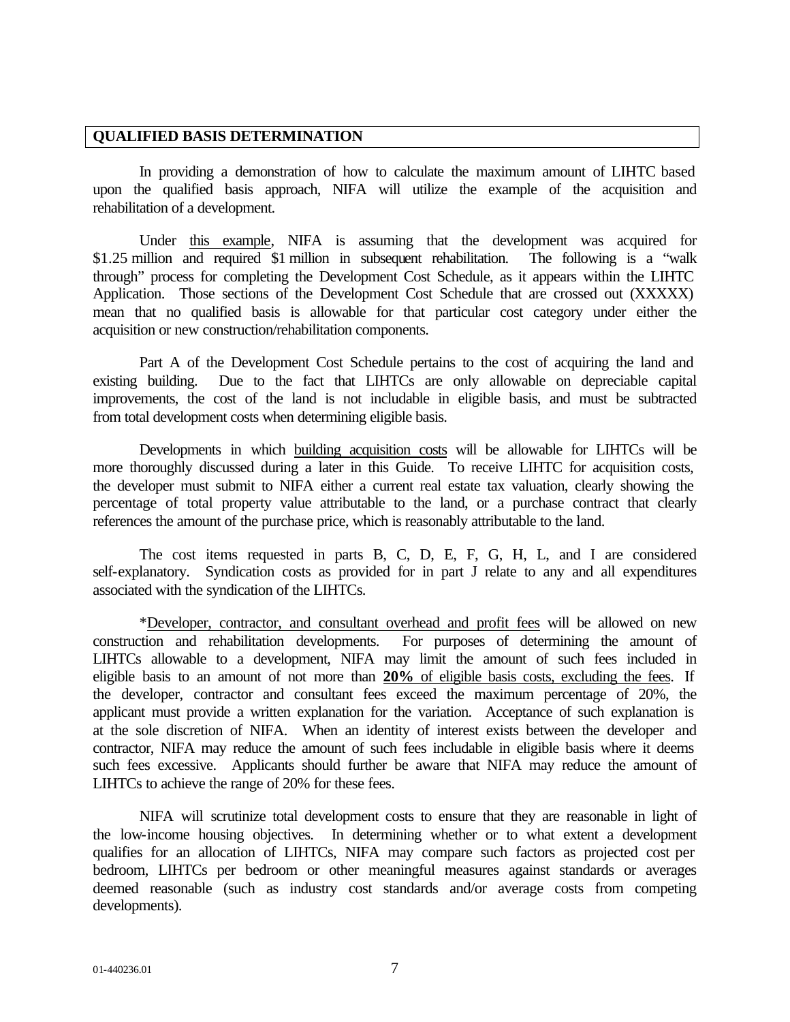#### **QUALIFIED BASIS DETERMINATION**

In providing a demonstration of how to calculate the maximum amount of LIHTC based upon the qualified basis approach, NIFA will utilize the example of the acquisition and rehabilitation of a development.

Under this example, NIFA is assuming that the development was acquired for \$1.25 million and required \$1 million in subsequent rehabilitation. The following is a "walk" through" process for completing the Development Cost Schedule, as it appears within the LIHTC Application. Those sections of the Development Cost Schedule that are crossed out (XXXXX) mean that no qualified basis is allowable for that particular cost category under either the acquisition or new construction/rehabilitation components.

Part A of the Development Cost Schedule pertains to the cost of acquiring the land and existing building. Due to the fact that LIHTCs are only allowable on depreciable capital improvements, the cost of the land is not includable in eligible basis, and must be subtracted from total development costs when determining eligible basis.

Developments in which building acquisition costs will be allowable for LIHTCs will be more thoroughly discussed during a later in this Guide. To receive LIHTC for acquisition costs, the developer must submit to NIFA either a current real estate tax valuation, clearly showing the percentage of total property value attributable to the land, or a purchase contract that clearly references the amount of the purchase price, which is reasonably attributable to the land.

The cost items requested in parts B, C, D, E, F, G, H, L, and I are considered self-explanatory. Syndication costs as provided for in part J relate to any and all expenditures associated with the syndication of the LIHTCs.

\*Developer, contractor, and consultant overhead and profit fees will be allowed on new construction and rehabilitation developments. For purposes of determining the amount of LIHTCs allowable to a development, NIFA may limit the amount of such fees included in eligible basis to an amount of not more than **20%** of eligible basis costs, excluding the fees. If the developer, contractor and consultant fees exceed the maximum percentage of 20%, the applicant must provide a written explanation for the variation. Acceptance of such explanation is at the sole discretion of NIFA. When an identity of interest exists between the developer and contractor, NIFA may reduce the amount of such fees includable in eligible basis where it deems such fees excessive. Applicants should further be aware that NIFA may reduce the amount of LIHTCs to achieve the range of 20% for these fees.

NIFA will scrutinize total development costs to ensure that they are reasonable in light of the low-income housing objectives. In determining whether or to what extent a development qualifies for an allocation of LIHTCs, NIFA may compare such factors as projected cost per bedroom, LIHTCs per bedroom or other meaningful measures against standards or averages deemed reasonable (such as industry cost standards and/or average costs from competing developments).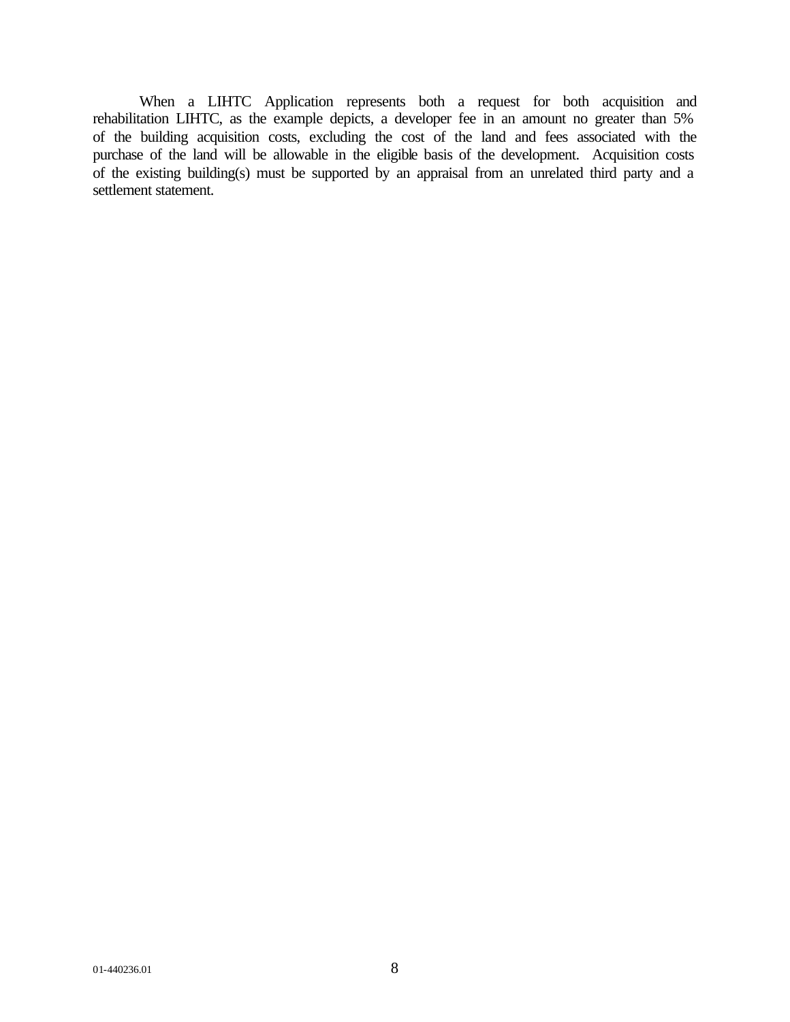When a LIHTC Application represents both a request for both acquisition and rehabilitation LIHTC, as the example depicts, a developer fee in an amount no greater than 5% of the building acquisition costs, excluding the cost of the land and fees associated with the purchase of the land will be allowable in the eligible basis of the development. Acquisition costs of the existing building(s) must be supported by an appraisal from an unrelated third party and a settlement statement.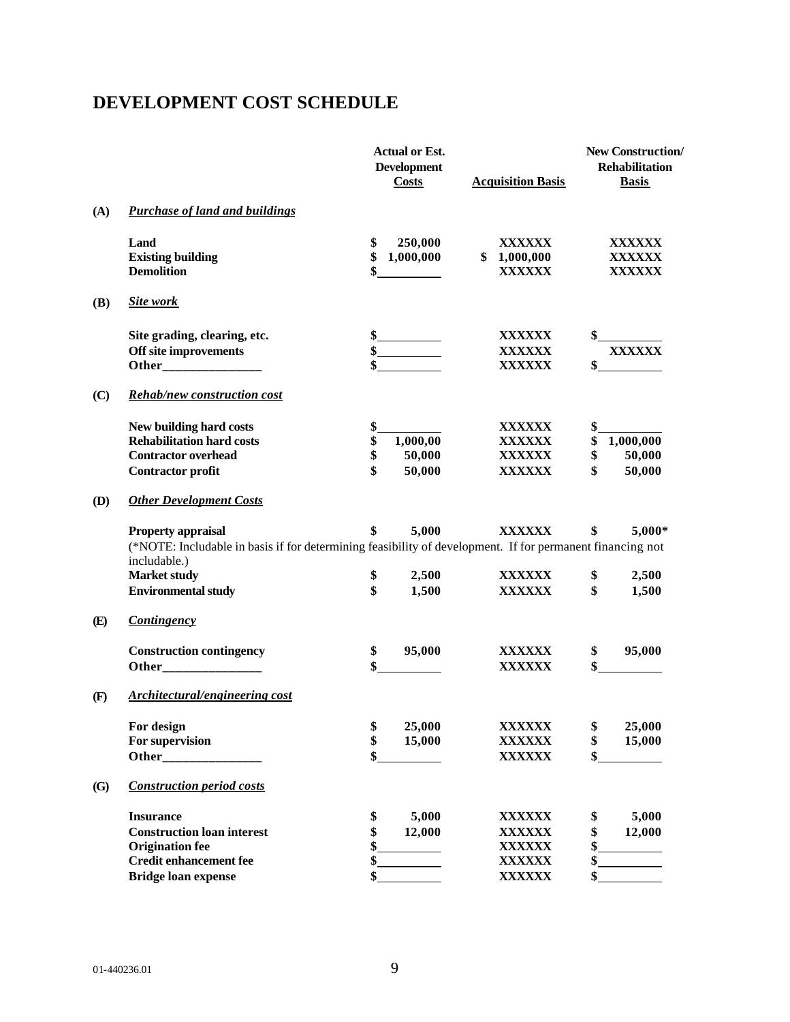## **DEVELOPMENT COST SCHEDULE**

|     |                                                                                                           |          | <b>Actual or Est.</b><br><b>Development</b><br><b>Costs</b> | <b>Acquisition Basis</b>                      |               | <b>New Construction</b> /<br><b>Rehabilitation</b><br><b>Basis</b> |
|-----|-----------------------------------------------------------------------------------------------------------|----------|-------------------------------------------------------------|-----------------------------------------------|---------------|--------------------------------------------------------------------|
| (A) | <b>Purchase of land and buildings</b>                                                                     |          |                                                             |                                               |               |                                                                    |
|     | Land<br><b>Existing building</b><br><b>Demolition</b>                                                     | \$<br>\$ | 250,000<br>1,000,000                                        | <b>XXXXXX</b><br>\$1,000,000<br><b>XXXXXX</b> |               | XXXXXX<br>XXXXXX<br><b>XXXXXX</b>                                  |
| (B) | Site work                                                                                                 |          |                                                             |                                               |               |                                                                    |
|     | Site grading, clearing, etc.<br>Off site improvements                                                     |          | $\frac{\text{S}}{\text{S}}$                                 | <b>XXXXXX</b><br><b>XXXXXX</b>                | \$            | <b>XXXXXX</b>                                                      |
| (C) | <b>Rehab/new construction cost</b>                                                                        |          |                                                             | <b>XXXXXX</b>                                 | $\frac{1}{2}$ |                                                                    |
|     | New building hard costs                                                                                   | \$       |                                                             | <b>XXXXXX</b>                                 | \$            |                                                                    |
|     | <b>Rehabilitation hard costs</b>                                                                          | \$       | 1,000,00                                                    | <b>XXXXXX</b>                                 | \$            | 1,000,000                                                          |
|     | <b>Contractor overhead</b>                                                                                | \$       | 50,000                                                      | <b>XXXXXX</b>                                 | \$            | 50,000                                                             |
|     | <b>Contractor profit</b>                                                                                  | \$       | 50,000                                                      | <b>XXXXXX</b>                                 | \$            | 50,000                                                             |
| (D) | <b>Other Development Costs</b>                                                                            |          |                                                             |                                               |               |                                                                    |
|     | <b>Property appraisal</b>                                                                                 | \$       | 5,000                                                       | <b>XXXXXX</b>                                 | \$            | 5,000*                                                             |
|     | (*NOTE: Includable in basis if for determining feasibility of development. If for permanent financing not |          |                                                             |                                               |               |                                                                    |
|     | includable.)<br><b>Market study</b>                                                                       | \$       | 2,500                                                       | <b>XXXXXX</b>                                 | \$            | 2,500                                                              |
|     | <b>Environmental study</b>                                                                                | \$       | 1,500                                                       | <b>XXXXXX</b>                                 | \$            | 1,500                                                              |
| (E) | <b>Contingency</b>                                                                                        |          |                                                             |                                               |               |                                                                    |
|     | <b>Construction contingency</b>                                                                           | \$       | 95,000                                                      | XXXXXX                                        | \$            | 95,000                                                             |
|     |                                                                                                           |          |                                                             | <b>XXXXXX</b>                                 | \$            |                                                                    |
| (F) | Architectural/engineering cost                                                                            |          |                                                             |                                               |               |                                                                    |
|     | For design                                                                                                | \$       | 25,000                                                      | <b>XXXXXX</b>                                 | \$            | 25,000                                                             |
|     | For supervision                                                                                           | \$       | 15,000                                                      | <b>XXXXXX</b>                                 | \$            | 15,000                                                             |
|     |                                                                                                           | \$       |                                                             | <b>XXXXXX</b>                                 | \$            |                                                                    |
| (G) | <b>Construction period costs</b>                                                                          |          |                                                             |                                               |               |                                                                    |
|     | <b>Insurance</b>                                                                                          | \$       | 5,000                                                       | <b>XXXXXX</b>                                 | \$            | 5,000                                                              |
|     | <b>Construction loan interest</b>                                                                         | \$       | 12,000                                                      | <b>XXXXXX</b>                                 | \$            | 12,000                                                             |
|     | <b>Origination fee</b>                                                                                    | \$       |                                                             | <b>XXXXXX</b>                                 | \$            |                                                                    |
|     | <b>Credit enhancement fee</b>                                                                             | \$       |                                                             | <b>XXXXXX</b>                                 | \$            |                                                                    |
|     | <b>Bridge loan expense</b>                                                                                | \$       |                                                             | <b>XXXXXX</b>                                 | \$            |                                                                    |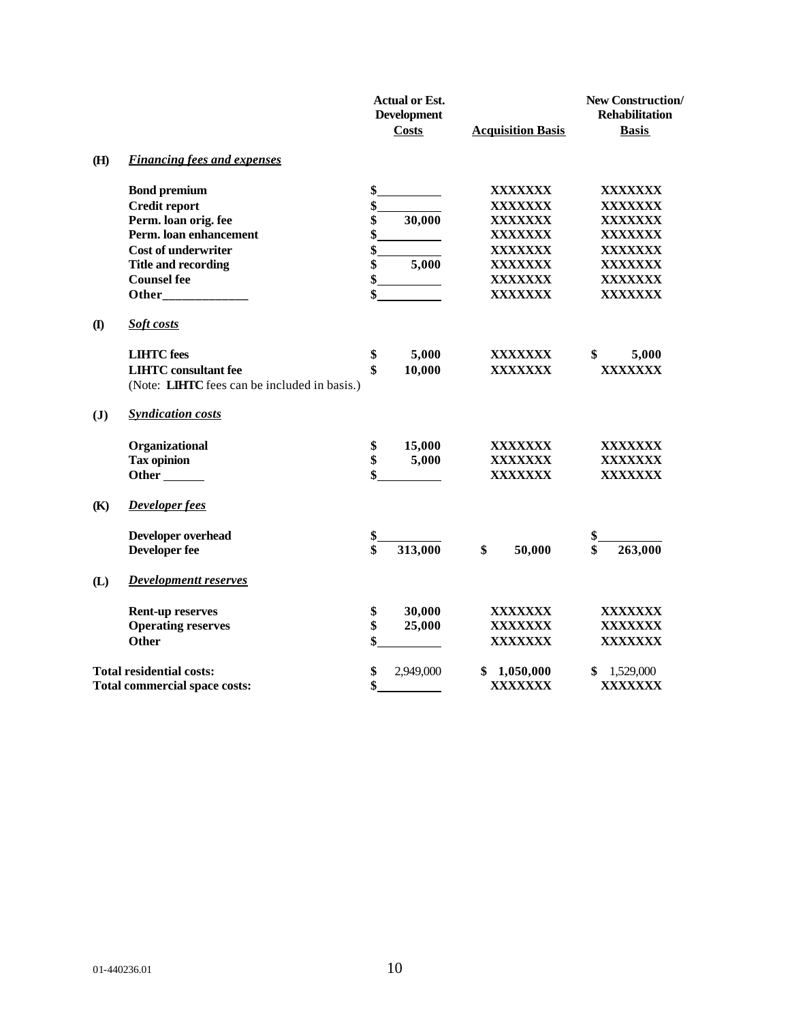|                |                                                                                                                                                                                                                                     | <b>Actual or Est.</b><br><b>Development</b><br><b>Costs</b> | <b>Acquisition Basis</b> | <b>New Construction/</b><br><b>Rehabilitation</b><br><b>Basis</b> |
|----------------|-------------------------------------------------------------------------------------------------------------------------------------------------------------------------------------------------------------------------------------|-------------------------------------------------------------|--------------------------|-------------------------------------------------------------------|
| (H)            | <b>Financing fees and expenses</b>                                                                                                                                                                                                  |                                                             |                          |                                                                   |
|                | <b>Bond premium</b>                                                                                                                                                                                                                 | \$                                                          | XXXXXXX                  | <b>XXXXXXX</b>                                                    |
|                | <b>Credit report</b>                                                                                                                                                                                                                | \$                                                          | <b>XXXXXXX</b>           | <b>XXXXXXX</b>                                                    |
|                | Perm. loan orig. fee                                                                                                                                                                                                                | \$<br>30,000                                                | <b>XXXXXXX</b>           | XXXXXXX                                                           |
|                | Perm. loan enhancement                                                                                                                                                                                                              | \$                                                          | <b>XXXXXXX</b>           | <b>XXXXXXX</b>                                                    |
|                | <b>Cost of underwriter</b>                                                                                                                                                                                                          | \$                                                          | <b>XXXXXXX</b>           | <b>XXXXXXX</b>                                                    |
|                | <b>Title and recording</b>                                                                                                                                                                                                          | \$<br>5,000                                                 | <b>XXXXXXX</b>           | XXXXXXX                                                           |
|                | <b>Counsel fee</b>                                                                                                                                                                                                                  | \$                                                          | <b>XXXXXXX</b>           | <b>XXXXXXX</b>                                                    |
|                | <b>Other</b> and the state of the state of the state of the state of the state of the state of the state of the state of the state of the state of the state of the state of the state of the state of the state of the state of th | \$                                                          | <b>XXXXXXX</b>           | XXXXXXX                                                           |
| $\mathbf{I}$   | Soft costs                                                                                                                                                                                                                          |                                                             |                          |                                                                   |
|                | <b>LIHTC</b> fees                                                                                                                                                                                                                   | \$<br>5,000                                                 | XXXXXXX                  | \$<br>5,000                                                       |
|                | <b>LIHTC</b> consultant fee                                                                                                                                                                                                         | \$<br>10,000                                                | <b>XXXXXXX</b>           | <b>XXXXXXX</b>                                                    |
|                | (Note: LIHTC fees can be included in basis.)                                                                                                                                                                                        |                                                             |                          |                                                                   |
| $(\mathbf{J})$ | <b>Syndication costs</b>                                                                                                                                                                                                            |                                                             |                          |                                                                   |
|                | Organizational                                                                                                                                                                                                                      | \$<br>15,000                                                | XXXXXXX                  | XXXXXXX                                                           |
|                | <b>Tax opinion</b>                                                                                                                                                                                                                  | \$<br>5,000                                                 | <b>XXXXXXX</b>           | XXXXXXX                                                           |
|                | Other <sub>_______</sub>                                                                                                                                                                                                            |                                                             | <b>XXXXXXX</b>           | XXXXXXX                                                           |
| (K)            | <b>Developer fees</b>                                                                                                                                                                                                               |                                                             |                          |                                                                   |
|                | Developer overhead                                                                                                                                                                                                                  | \$                                                          |                          | \$                                                                |
|                | <b>Developer fee</b>                                                                                                                                                                                                                | \$<br>313,000                                               | \$<br>50,000             | \$<br>263,000                                                     |
| (L)            | <b>Developmentt reserves</b>                                                                                                                                                                                                        |                                                             |                          |                                                                   |
|                | <b>Rent-up reserves</b>                                                                                                                                                                                                             | \$<br>30,000                                                | <b>XXXXXXX</b>           | <b>XXXXXXX</b>                                                    |
|                | <b>Operating reserves</b>                                                                                                                                                                                                           | \$<br>25,000                                                | <b>XXXXXXX</b>           | <b>XXXXXXX</b>                                                    |
|                | <b>Other</b>                                                                                                                                                                                                                        |                                                             | <b>XXXXXXX</b>           | <b>XXXXXXX</b>                                                    |
|                | <b>Total residential costs:</b>                                                                                                                                                                                                     | \$<br>2,949,000                                             | \$<br>1,050,000          | 1,529,000                                                         |
|                | Total commercial space costs:                                                                                                                                                                                                       | \$                                                          | XXXXXXX                  | <b>XXXXXXX</b>                                                    |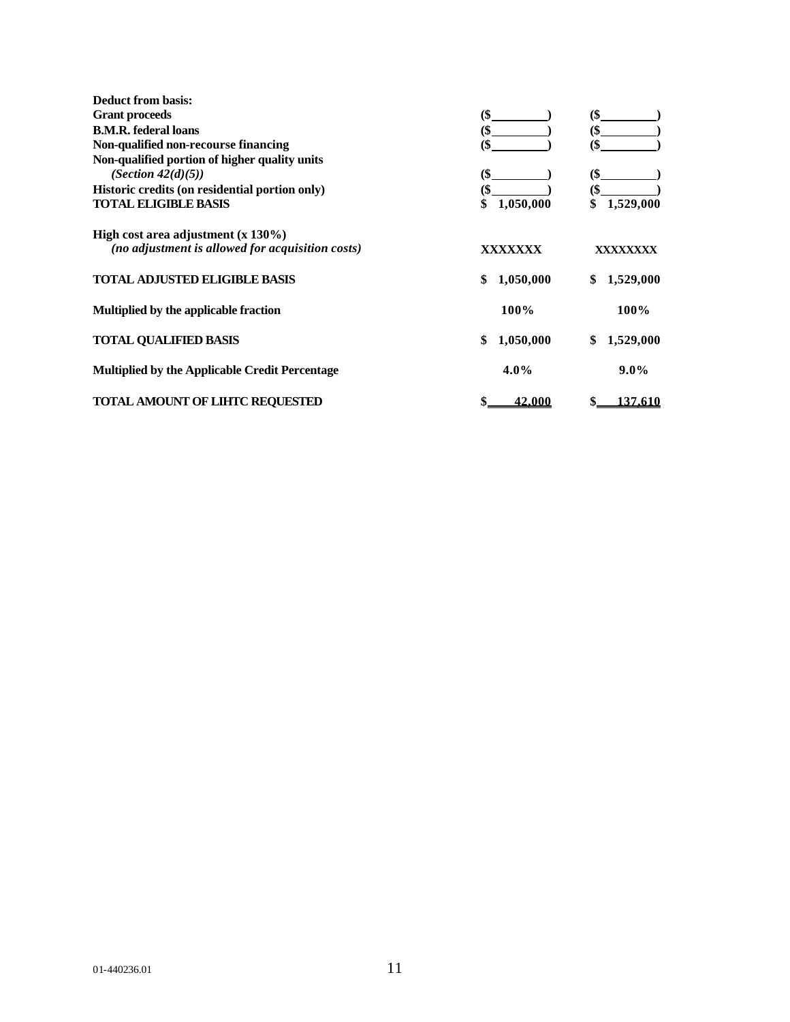| <b>Deduct from basis:</b>                        |                 |                 |
|--------------------------------------------------|-----------------|-----------------|
| <b>Grant proceeds</b>                            | $($ \$          | (\$             |
| <b>B.M.R.</b> federal loans                      | (\$             | (\$             |
| Non-qualified non-recourse financing             | (\$             | (\$             |
| Non-qualified portion of higher quality units    |                 |                 |
| (Section $42(d)(5)$ )                            | \$              | (\$             |
| Historic credits (on residential portion only)   | (\$             | (\$             |
| <b>TOTAL ELIGIBLE BASIS</b>                      | 1,050,000<br>\$ | 1,529,000<br>\$ |
| High cost area adjustment $(x 130\%)$            |                 |                 |
| (no adjustment is allowed for acquisition costs) | XXXXXXX         | XXXXXXXX        |
| <b>TOTAL ADJUSTED ELIGIBLE BASIS</b>             | 1,050,000<br>\$ | 1,529,000<br>\$ |
| Multiplied by the applicable fraction            | 100%            | 100%            |
| <b>TOTAL QUALIFIED BASIS</b>                     | 1,050,000<br>\$ | \$<br>1,529,000 |
| Multiplied by the Applicable Credit Percentage   | $4.0\%$         | $9.0\%$         |
| <b>TOTAL AMOUNT OF LIHTC REOUESTED</b>           | 42,000<br>\$    | 137.610<br>\$   |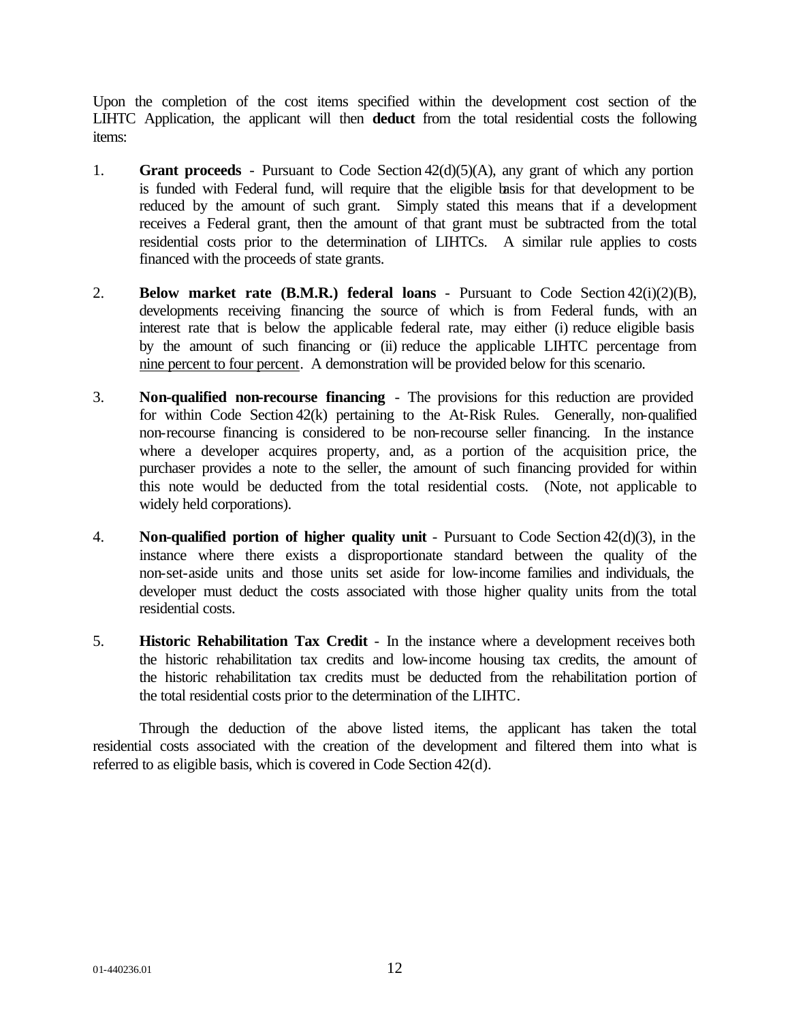Upon the completion of the cost items specified within the development cost section of the LIHTC Application, the applicant will then **deduct** from the total residential costs the following items:

- 1. **Grant proceeds**  Pursuant to Code Section 42(d)(5)(A), any grant of which any portion is funded with Federal fund, will require that the eligible basis for that development to be reduced by the amount of such grant. Simply stated this means that if a development receives a Federal grant, then the amount of that grant must be subtracted from the total residential costs prior to the determination of LIHTCs. A similar rule applies to costs financed with the proceeds of state grants.
- 2. **Below market rate (B.M.R.) federal loans** Pursuant to Code Section 42(i)(2)(B), developments receiving financing the source of which is from Federal funds, with an interest rate that is below the applicable federal rate, may either (i) reduce eligible basis by the amount of such financing or (ii) reduce the applicable LIHTC percentage from nine percent to four percent. A demonstration will be provided below for this scenario.
- 3. **Non-qualified non-recourse financing** The provisions for this reduction are provided for within Code Section 42(k) pertaining to the At-Risk Rules. Generally, non-qualified non-recourse financing is considered to be non-recourse seller financing. In the instance where a developer acquires property, and, as a portion of the acquisition price, the purchaser provides a note to the seller, the amount of such financing provided for within this note would be deducted from the total residential costs. (Note, not applicable to widely held corporations).
- 4. **Non-qualified portion of higher quality unit** Pursuant to Code Section 42(d)(3), in the instance where there exists a disproportionate standard between the quality of the non-set-aside units and those units set aside for low-income families and individuals, the developer must deduct the costs associated with those higher quality units from the total residential costs.
- 5. **Historic Rehabilitation Tax Credit** In the instance where a development receives both the historic rehabilitation tax credits and low-income housing tax credits, the amount of the historic rehabilitation tax credits must be deducted from the rehabilitation portion of the total residential costs prior to the determination of the LIHTC.

Through the deduction of the above listed items, the applicant has taken the total residential costs associated with the creation of the development and filtered them into what is referred to as eligible basis, which is covered in Code Section 42(d).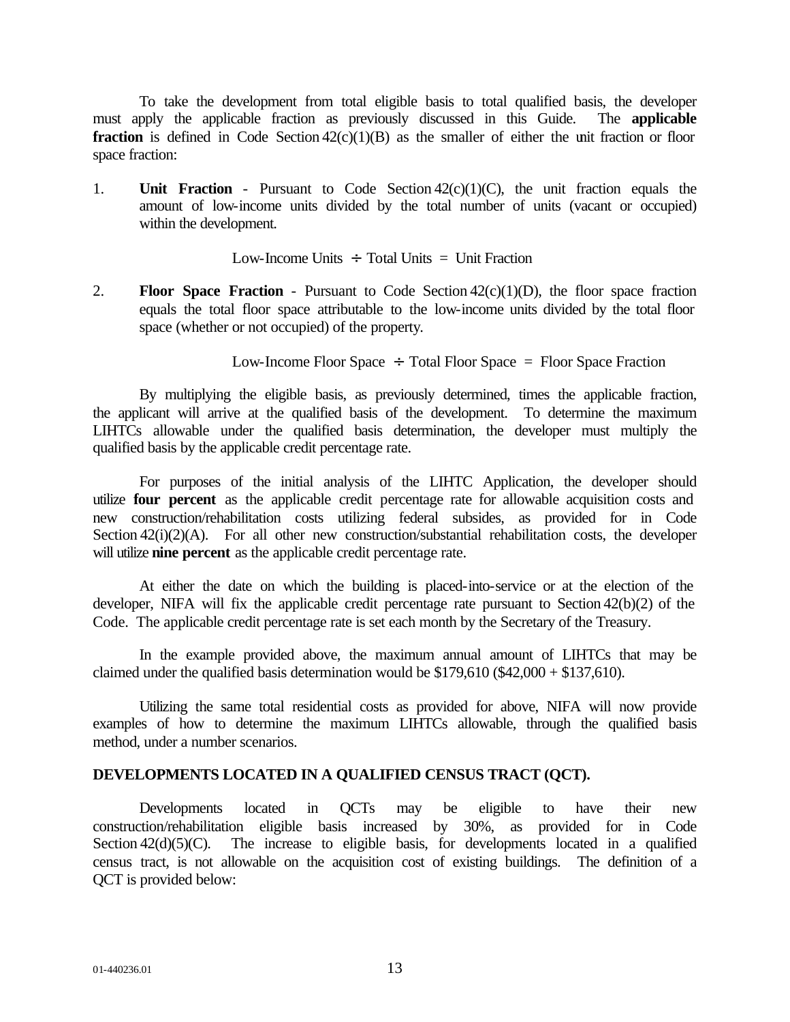To take the development from total eligible basis to total qualified basis, the developer must apply the applicable fraction as previously discussed in this Guide. The **applicable fraction** is defined in Code Section 42(c)(1)(B) as the smaller of either the unit fraction or floor space fraction:

1. **Unit Fraction** - Pursuant to Code Section 42(c)(1)(C), the unit fraction equals the amount of low-income units divided by the total number of units (vacant or occupied) within the development.

Low-Income Units  $\div$  Total Units  $=$  Unit Fraction

2. **Floor Space Fraction** - Pursuant to Code Section 42(c)(1)(D), the floor space fraction equals the total floor space attributable to the low-income units divided by the total floor space (whether or not occupied) of the property.

Low-Income Floor Space  $\div$  Total Floor Space = Floor Space Fraction

By multiplying the eligible basis, as previously determined, times the applicable fraction, the applicant will arrive at the qualified basis of the development. To determine the maximum LIHTCs allowable under the qualified basis determination, the developer must multiply the qualified basis by the applicable credit percentage rate.

For purposes of the initial analysis of the LIHTC Application, the developer should utilize **four percent** as the applicable credit percentage rate for allowable acquisition costs and new construction/rehabilitation costs utilizing federal subsides, as provided for in Code Section 42(i)(2)(A). For all other new construction/substantial rehabilitation costs, the developer will utilize **nine percent** as the applicable credit percentage rate.

At either the date on which the building is placed-into-service or at the election of the developer, NIFA will fix the applicable credit percentage rate pursuant to Section 42(b)(2) of the Code. The applicable credit percentage rate is set each month by the Secretary of the Treasury.

In the example provided above, the maximum annual amount of LIHTCs that may be claimed under the qualified basis determination would be  $$179,610$  (\$42,000 + \$137,610).

Utilizing the same total residential costs as provided for above, NIFA will now provide examples of how to determine the maximum LIHTCs allowable, through the qualified basis method, under a number scenarios.

## **DEVELOPMENTS LOCATED IN A QUALIFIED CENSUS TRACT (QCT).**

Developments located in QCTs may be eligible to have their new construction/rehabilitation eligible basis increased by 30%, as provided for in Code Section  $42(d)(5)(C)$ . The increase to eligible basis, for developments located in a qualified census tract, is not allowable on the acquisition cost of existing buildings. The definition of a QCT is provided below: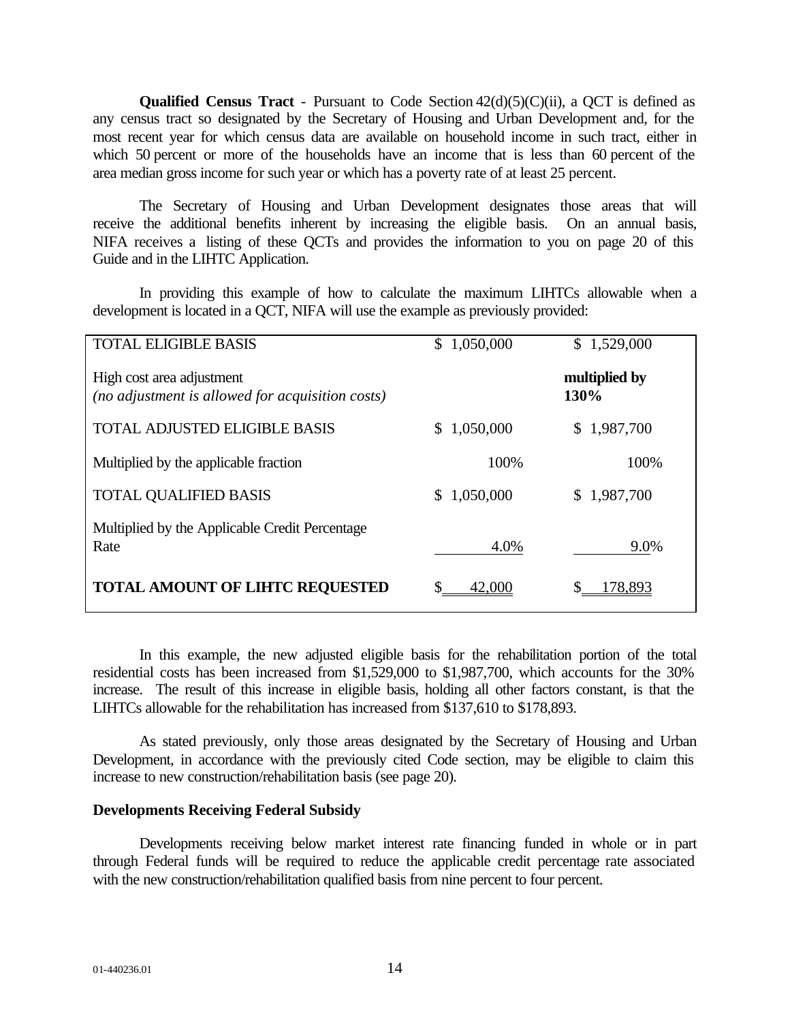**Qualified Census Tract** - Pursuant to Code Section  $42(d)(5)(C)(ii)$ , a QCT is defined as any census tract so designated by the Secretary of Housing and Urban Development and, for the most recent year for which census data are available on household income in such tract, either in which 50 percent or more of the households have an income that is less than 60 percent of the area median gross income for such year or which has a poverty rate of at least 25 percent.

The Secretary of Housing and Urban Development designates those areas that will receive the additional benefits inherent by increasing the eligible basis. On an annual basis, NIFA receives a listing of these QCTs and provides the information to you on page 20 of this Guide and in the LIHTC Application.

In providing this example of how to calculate the maximum LIHTCs allowable when a development is located in a QCT, NIFA will use the example as previously provided:

| <b>TOTAL ELIGIBLE BASIS</b>                                                   | $\mathbb{S}^-$<br>1,050,000 | 1,529,000<br>\$       |
|-------------------------------------------------------------------------------|-----------------------------|-----------------------|
| High cost area adjustment<br>(no adjustment is allowed for acquisition costs) |                             | multiplied by<br>130% |
| <b>TOTAL ADJUSTED ELIGIBLE BASIS</b>                                          | 1,050,000                   | 1,987,700<br>S.       |
| Multiplied by the applicable fraction                                         | 100%                        | 100%                  |
| <b>TOTAL QUALIFIED BASIS</b>                                                  | 1,050,000<br>S.             | \$1,987,700           |
| Multiplied by the Applicable Credit Percentage<br>Rate                        | 4.0%                        | 9.0%                  |
| <b>TOTAL AMOUNT OF LIHTC REQUESTED</b>                                        | 42,000                      | 78,893                |

In this example, the new adjusted eligible basis for the rehabilitation portion of the total residential costs has been increased from \$1,529,000 to \$1,987,700, which accounts for the 30% increase. The result of this increase in eligible basis, holding all other factors constant, is that the LIHTCs allowable for the rehabilitation has increased from \$137,610 to \$178,893.

As stated previously, only those areas designated by the Secretary of Housing and Urban Development, in accordance with the previously cited Code section, may be eligible to claim this increase to new construction/rehabilitation basis (see page 20).

#### **Developments Receiving Federal Subsidy**

Developments receiving below market interest rate financing funded in whole or in part through Federal funds will be required to reduce the applicable credit percentage rate associated with the new construction/rehabilitation qualified basis from nine percent to four percent.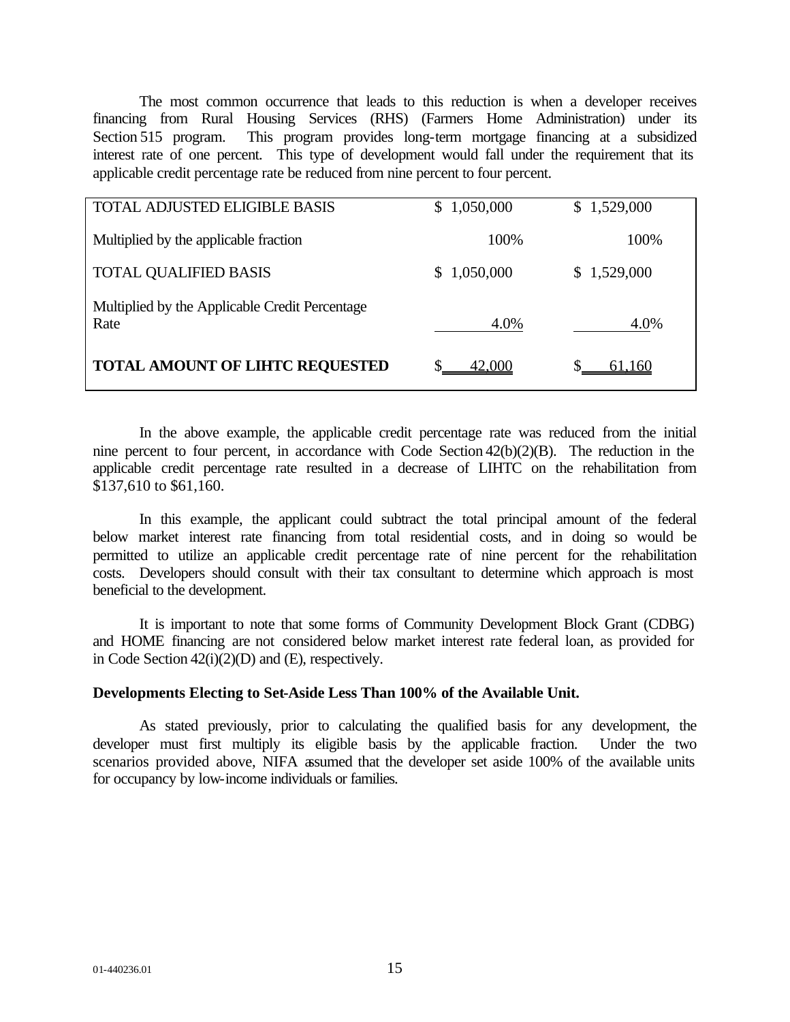The most common occurrence that leads to this reduction is when a developer receives financing from Rural Housing Services (RHS) (Farmers Home Administration) under its Section 515 program. This program provides long-term mortgage financing at a subsidized interest rate of one percent. This type of development would fall under the requirement that its applicable credit percentage rate be reduced from nine percent to four percent.

| <b>TOTAL ADJUSTED ELIGIBLE BASIS</b>                   | 1,050,000<br>S.  | \$1,529,000 |
|--------------------------------------------------------|------------------|-------------|
| Multiplied by the applicable fraction                  | 100%             | 100%        |
| <b>TOTAL QUALIFIED BASIS</b>                           | 1,050,000<br>SS. | \$1,529,000 |
| Multiplied by the Applicable Credit Percentage<br>Rate | 4.0%             | 4.0%        |
| <b>TOTAL AMOUNT OF LIHTC REQUESTED</b>                 | 42,000           | 61.160      |

In the above example, the applicable credit percentage rate was reduced from the initial nine percent to four percent, in accordance with Code Section 42(b)(2)(B). The reduction in the applicable credit percentage rate resulted in a decrease of LIHTC on the rehabilitation from \$137,610 to \$61,160.

In this example, the applicant could subtract the total principal amount of the federal below market interest rate financing from total residential costs, and in doing so would be permitted to utilize an applicable credit percentage rate of nine percent for the rehabilitation costs. Developers should consult with their tax consultant to determine which approach is most beneficial to the development.

It is important to note that some forms of Community Development Block Grant (CDBG) and HOME financing are not considered below market interest rate federal loan, as provided for in Code Section 42(i)(2)(D) and (E), respectively.

#### **Developments Electing to Set-Aside Less Than 100% of the Available Unit.**

As stated previously, prior to calculating the qualified basis for any development, the developer must first multiply its eligible basis by the applicable fraction. Under the two scenarios provided above, NIFA assumed that the developer set aside 100% of the available units for occupancy by low-income individuals or families.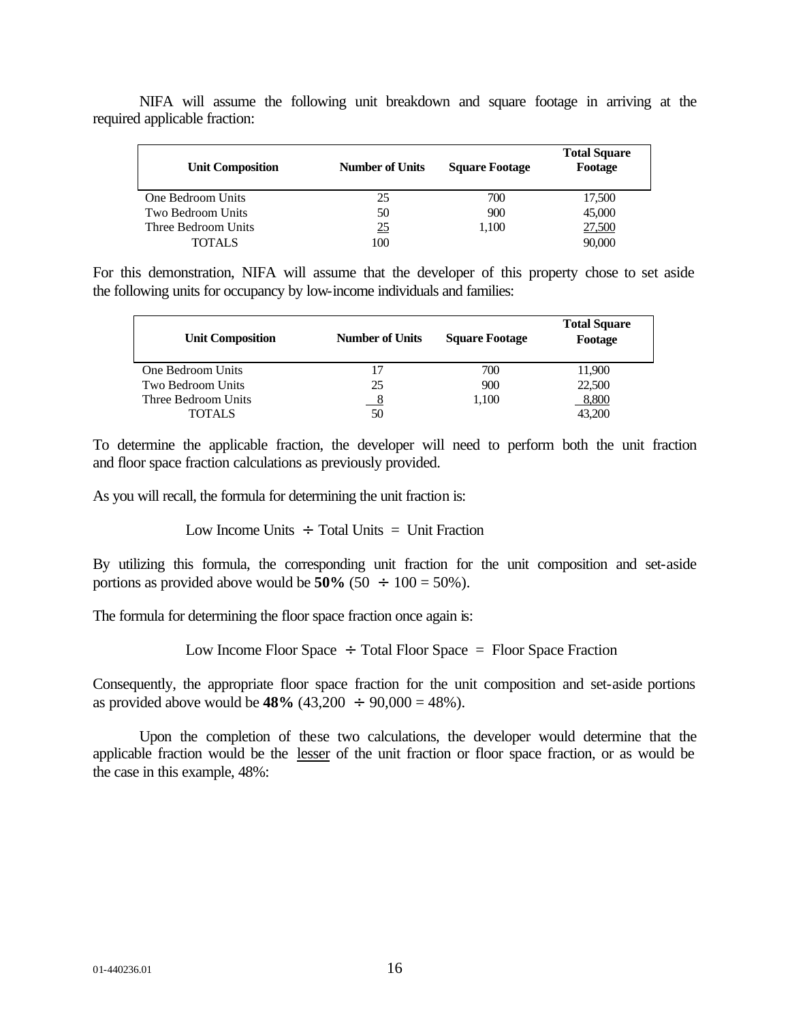| <b>Unit Composition</b> | <b>Number of Units</b> | <b>Square Footage</b> | <b>Total Square</b><br>Footage |
|-------------------------|------------------------|-----------------------|--------------------------------|
| One Bedroom Units       | 25                     | 700                   | 17,500                         |
| Two Bedroom Units       | 50                     | 900                   | 45,000                         |
| Three Bedroom Units     | <u>25</u>              | 1.100                 | 27,500                         |
| <b>TOTALS</b>           | 100                    |                       | 90,000                         |

NIFA will assume the following unit breakdown and square footage in arriving at the required applicable fraction:

For this demonstration, NIFA will assume that the developer of this property chose to set aside the following units for occupancy by low-income individuals and families:

| <b>Unit Composition</b> | <b>Number of Units</b> | <b>Square Footage</b> | <b>Total Square</b><br>Footage |
|-------------------------|------------------------|-----------------------|--------------------------------|
| One Bedroom Units       |                        | 700                   | 11,900                         |
| Two Bedroom Units       | 25                     | 900                   | 22,500                         |
| Three Bedroom Units     |                        | 1.100                 | 8,800                          |
| <b>TOTALS</b>           | 50                     |                       | 43.200                         |

To determine the applicable fraction, the developer will need to perform both the unit fraction and floor space fraction calculations as previously provided.

As you will recall, the formula for determining the unit fraction is:

Low Income Units  $\div$  Total Units  $=$  Unit Fraction

By utilizing this formula, the corresponding unit fraction for the unit composition and set-aside portions as provided above would be  $50\%$  ( $50 \div 100 = 50\%$ ).

The formula for determining the floor space fraction once again is:

Low Income Floor Space  $\div$  Total Floor Space = Floor Space Fraction

Consequently, the appropriate floor space fraction for the unit composition and set-aside portions as provided above would be **48%** (43,200  $\div$  90,000 = 48%).

Upon the completion of these two calculations, the developer would determine that the applicable fraction would be the lesser of the unit fraction or floor space fraction, or as would be the case in this example, 48%: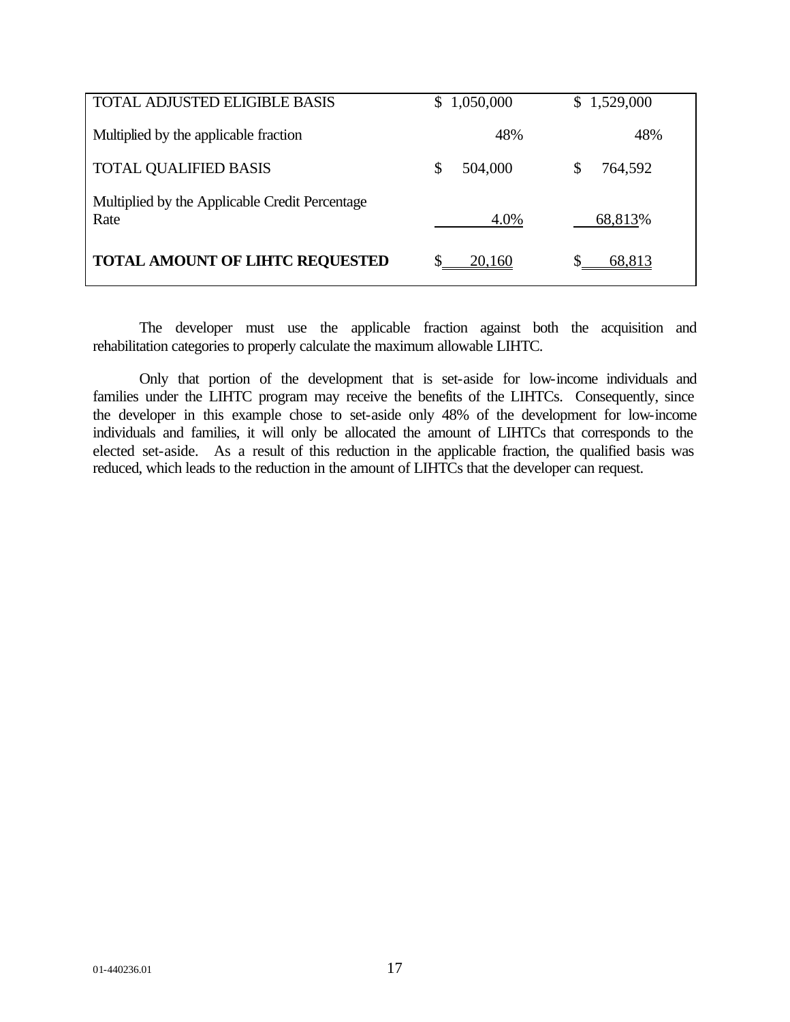| <b>TOTAL ADJUSTED ELIGIBLE BASIS</b>                   | S. | 1,050,000 |   | \$1,529,000 |
|--------------------------------------------------------|----|-----------|---|-------------|
| Multiplied by the applicable fraction                  |    | 48%       |   | 48%         |
| <b>TOTAL QUALIFIED BASIS</b>                           | JЭ | 504,000   | S | 764,592     |
| Multiplied by the Applicable Credit Percentage<br>Rate |    | 4.0%      |   | 68,813%     |
| <b>TOTAL AMOUNT OF LIHTC REQUESTED</b>                 |    | 20,160    |   | 68,813      |

The developer must use the applicable fraction against both the acquisition and rehabilitation categories to properly calculate the maximum allowable LIHTC.

Only that portion of the development that is set-aside for low-income individuals and families under the LIHTC program may receive the benefits of the LIHTCs. Consequently, since the developer in this example chose to set-aside only 48% of the development for low-income individuals and families, it will only be allocated the amount of LIHTCs that corresponds to the elected set-aside. As a result of this reduction in the applicable fraction, the qualified basis was reduced, which leads to the reduction in the amount of LIHTCs that the developer can request.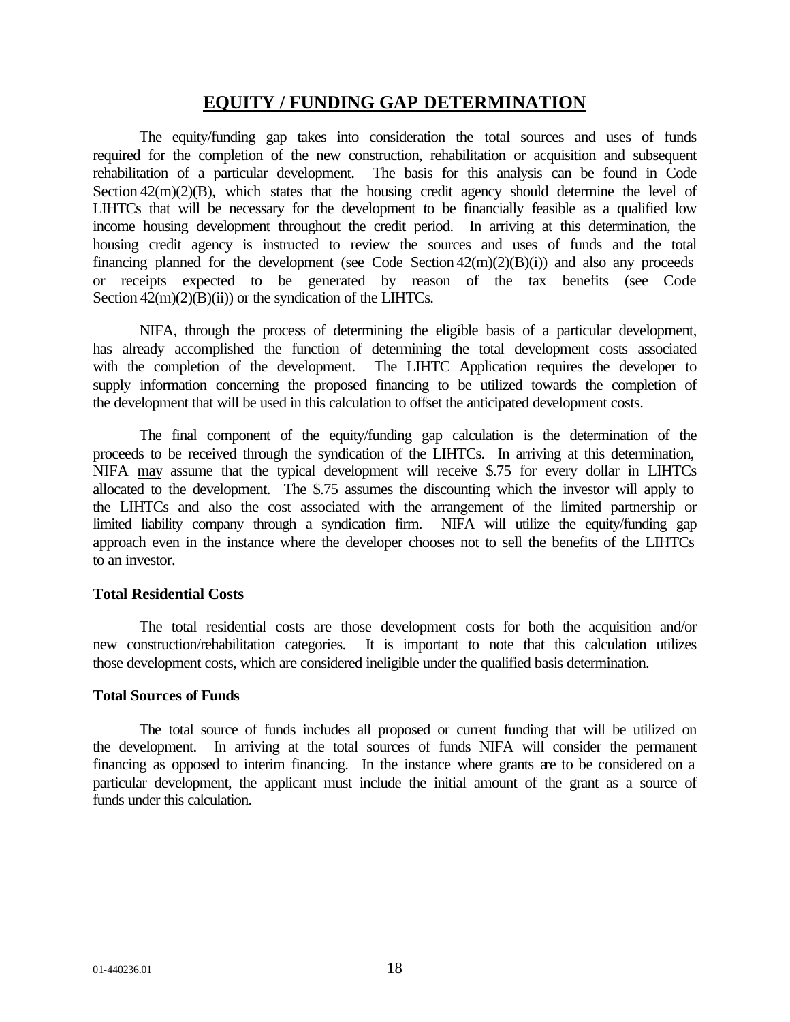## **EQUITY / FUNDING GAP DETERMINATION**

The equity/funding gap takes into consideration the total sources and uses of funds required for the completion of the new construction, rehabilitation or acquisition and subsequent rehabilitation of a particular development. The basis for this analysis can be found in Code Section  $42(m)(2)(B)$ , which states that the housing credit agency should determine the level of LIHTCs that will be necessary for the development to be financially feasible as a qualified low income housing development throughout the credit period. In arriving at this determination, the housing credit agency is instructed to review the sources and uses of funds and the total financing planned for the development (see Code Section  $42(m)(2)(B)(i)$ ) and also any proceeds or receipts expected to be generated by reason of the tax benefits (see Code Section  $42(m)(2)(B)(ii)$  or the syndication of the LIHTCs.

NIFA, through the process of determining the eligible basis of a particular development, has already accomplished the function of determining the total development costs associated with the completion of the development. The LIHTC Application requires the developer to supply information concerning the proposed financing to be utilized towards the completion of the development that will be used in this calculation to offset the anticipated development costs.

The final component of the equity/funding gap calculation is the determination of the proceeds to be received through the syndication of the LIHTCs. In arriving at this determination, NIFA may assume that the typical development will receive \$.75 for every dollar in LIHTCs allocated to the development. The \$.75 assumes the discounting which the investor will apply to the LIHTCs and also the cost associated with the arrangement of the limited partnership or limited liability company through a syndication firm. NIFA will utilize the equity/funding gap approach even in the instance where the developer chooses not to sell the benefits of the LIHTCs to an investor.

## **Total Residential Costs**

The total residential costs are those development costs for both the acquisition and/or new construction/rehabilitation categories. It is important to note that this calculation utilizes those development costs, which are considered ineligible under the qualified basis determination.

#### **Total Sources of Funds**

The total source of funds includes all proposed or current funding that will be utilized on the development. In arriving at the total sources of funds NIFA will consider the permanent financing as opposed to interim financing. In the instance where grants are to be considered on a particular development, the applicant must include the initial amount of the grant as a source of funds under this calculation.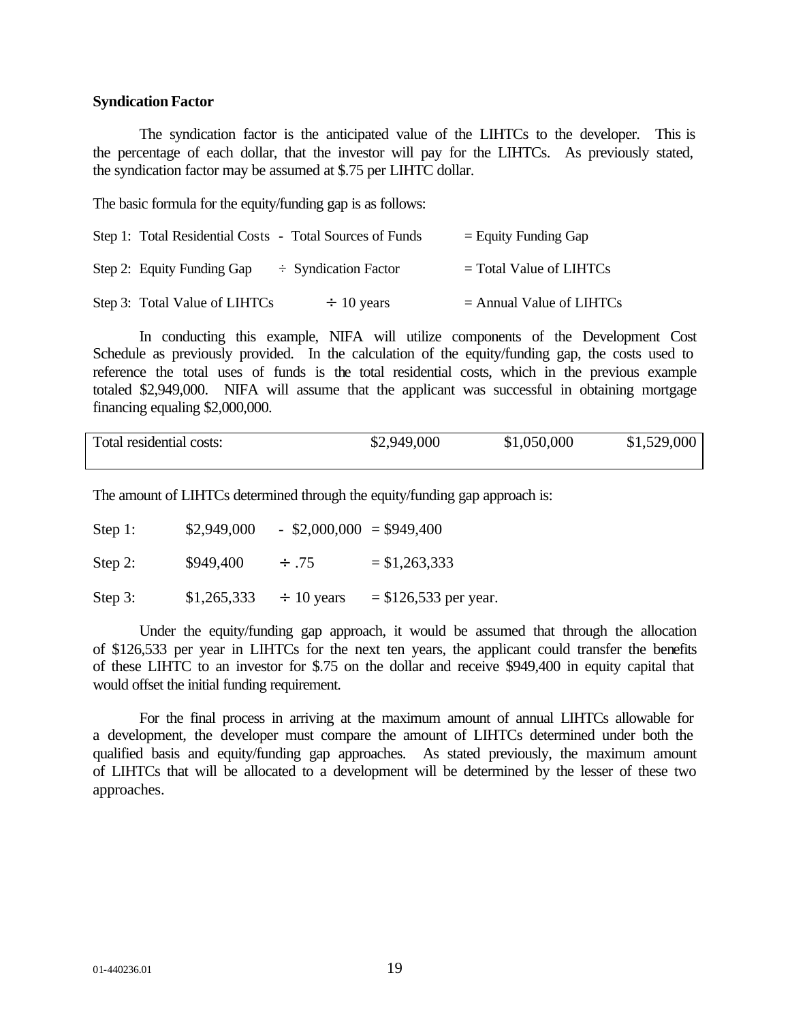#### **Syndication Factor**

The syndication factor is the anticipated value of the LIHTCs to the developer. This is the percentage of each dollar, that the investor will pay for the LIHTCs. As previously stated, the syndication factor may be assumed at \$.75 per LIHTC dollar.

The basic formula for the equity/funding gap is as follows:

| Step 1: Total Residential Costs - Total Sources of Funds | $=$ Equity Funding Gap     |
|----------------------------------------------------------|----------------------------|
| Step 2: Equity Funding Gap<br>$\div$ Syndication Factor  | $=$ Total Value of LIHTCs  |
| Step 3: Total Value of LIHTCs<br>$\div$ 10 years         | $=$ Annual Value of LIHTCs |

In conducting this example, NIFA will utilize components of the Development Cost Schedule as previously provided. In the calculation of the equity/funding gap, the costs used to reference the total uses of funds is the total residential costs, which in the previous example totaled \$2,949,000. NIFA will assume that the applicant was successful in obtaining mortgage financing equaling \$2,000,000.

| Total residential costs: | \$2,949,000 | \$1,050,000 | \$1,529,000 |
|--------------------------|-------------|-------------|-------------|
|                          |             |             |             |

The amount of LIHTCs determined through the equity/funding gap approach is:

| Step 1:    | \$2,949,000 |                 | $-$ \$2,000,000 = \$949,400 |
|------------|-------------|-----------------|-----------------------------|
| Step 2:    | \$949,400   | $\div$ .75      | $= $1,263,333$              |
| Step $3$ : | \$1,265,333 | $\div$ 10 years | $=$ \$126,533 per year.     |

Under the equity/funding gap approach, it would be assumed that through the allocation of \$126,533 per year in LIHTCs for the next ten years, the applicant could transfer the benefits of these LIHTC to an investor for \$.75 on the dollar and receive \$949,400 in equity capital that would offset the initial funding requirement.

For the final process in arriving at the maximum amount of annual LIHTCs allowable for a development, the developer must compare the amount of LIHTCs determined under both the qualified basis and equity/funding gap approaches. As stated previously, the maximum amount of LIHTCs that will be allocated to a development will be determined by the lesser of these two approaches.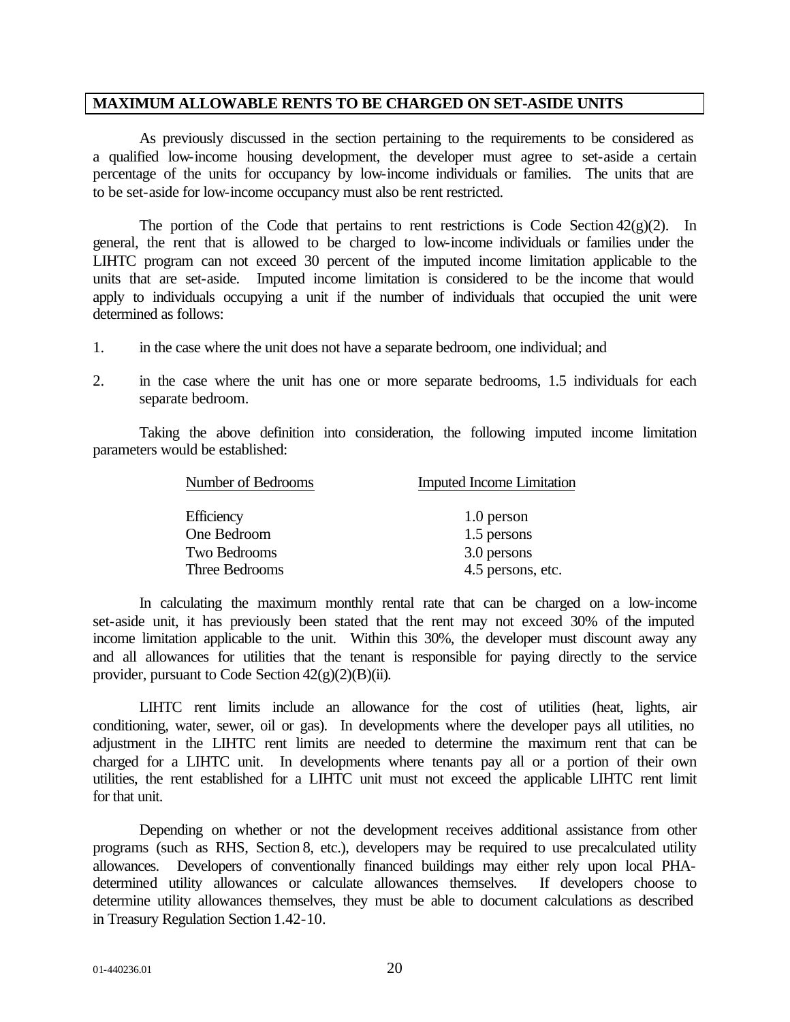#### **MAXIMUM ALLOWABLE RENTS TO BE CHARGED ON SET-ASIDE UNITS**

As previously discussed in the section pertaining to the requirements to be considered as a qualified low-income housing development, the developer must agree to set-aside a certain percentage of the units for occupancy by low-income individuals or families. The units that are to be set-aside for low-income occupancy must also be rent restricted.

The portion of the Code that pertains to rent restrictions is Code Section  $42(g)(2)$ . In general, the rent that is allowed to be charged to low-income individuals or families under the LIHTC program can not exceed 30 percent of the imputed income limitation applicable to the units that are set-aside. Imputed income limitation is considered to be the income that would apply to individuals occupying a unit if the number of individuals that occupied the unit were determined as follows:

- 1. in the case where the unit does not have a separate bedroom, one individual; and
- 2. in the case where the unit has one or more separate bedrooms, 1.5 individuals for each separate bedroom.

Taking the above definition into consideration, the following imputed income limitation parameters would be established:

| Number of Bedrooms | <b>Imputed Income Limitation</b> |
|--------------------|----------------------------------|
| Efficiency         | 1.0 person                       |
| One Bedroom        | 1.5 persons                      |
| Two Bedrooms       | 3.0 persons                      |
| Three Bedrooms     | 4.5 persons, etc.                |

In calculating the maximum monthly rental rate that can be charged on a low-income set-aside unit, it has previously been stated that the rent may not exceed 30% of the imputed income limitation applicable to the unit. Within this 30%, the developer must discount away any and all allowances for utilities that the tenant is responsible for paying directly to the service provider, pursuant to Code Section  $42(g)(2)(B)(ii)$ .

LIHTC rent limits include an allowance for the cost of utilities (heat, lights, air conditioning, water, sewer, oil or gas). In developments where the developer pays all utilities, no adjustment in the LIHTC rent limits are needed to determine the maximum rent that can be charged for a LIHTC unit. In developments where tenants pay all or a portion of their own utilities, the rent established for a LIHTC unit must not exceed the applicable LIHTC rent limit for that unit.

Depending on whether or not the development receives additional assistance from other programs (such as RHS, Section 8, etc.), developers may be required to use precalculated utility allowances. Developers of conventionally financed buildings may either rely upon local PHAdetermined utility allowances or calculate allowances themselves. If developers choose to determine utility allowances themselves, they must be able to document calculations as described in Treasury Regulation Section 1.42-10.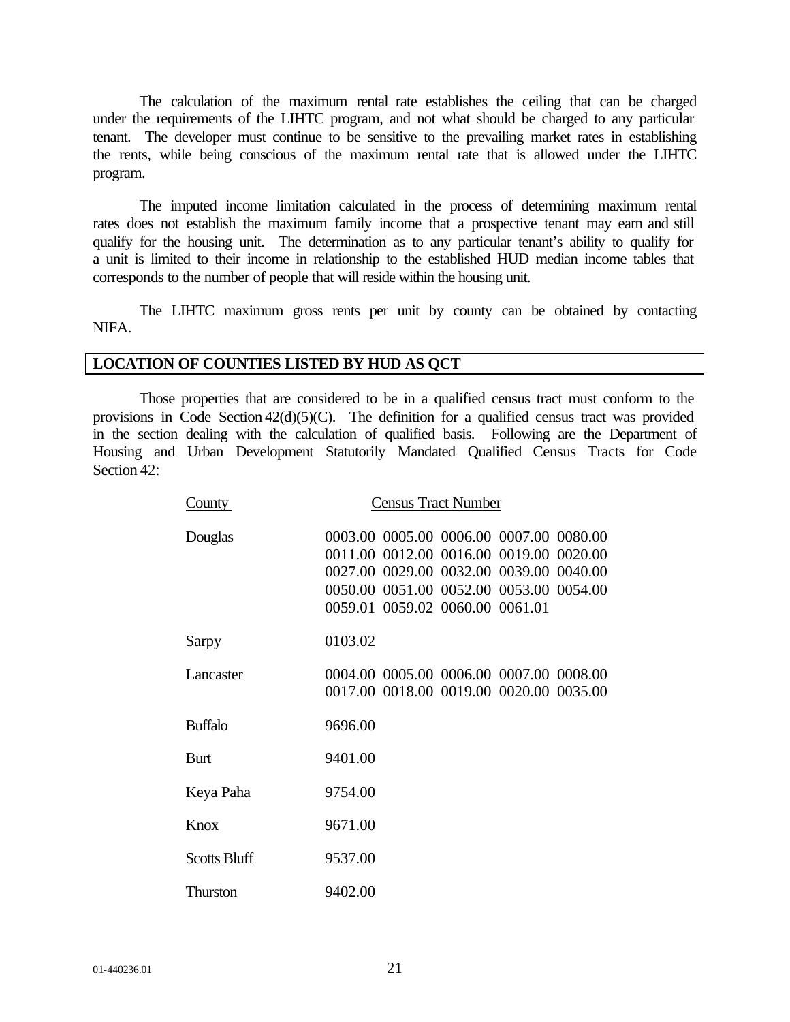The calculation of the maximum rental rate establishes the ceiling that can be charged under the requirements of the LIHTC program, and not what should be charged to any particular tenant. The developer must continue to be sensitive to the prevailing market rates in establishing the rents, while being conscious of the maximum rental rate that is allowed under the LIHTC program.

The imputed income limitation calculated in the process of determining maximum rental rates does not establish the maximum family income that a prospective tenant may earn and still qualify for the housing unit. The determination as to any particular tenant's ability to qualify for a unit is limited to their income in relationship to the established HUD median income tables that corresponds to the number of people that will reside within the housing unit.

The LIHTC maximum gross rents per unit by county can be obtained by contacting NIFA.

## **LOCATION OF COUNTIES LISTED BY HUD AS QCT**

Those properties that are considered to be in a qualified census tract must conform to the provisions in Code Section 42(d)(5)(C). The definition for a qualified census tract was provided in the section dealing with the calculation of qualified basis. Following are the Department of Housing and Urban Development Statutorily Mandated Qualified Census Tracts for Code Section 42:

| County              | <b>Census Tract Number</b>                                                                                                                                                                                  |
|---------------------|-------------------------------------------------------------------------------------------------------------------------------------------------------------------------------------------------------------|
| Douglas             | 0003.00 0005.00 0006.00 0007.00 0080.00<br>0011.00 0012.00 0016.00 0019.00 0020.00<br>0027.00 0029.00 0032.00 0039.00 0040.00<br>0050.00 0051.00 0052.00 0053.00 0054.00<br>0059.01 0059.02 0060.00 0061.01 |
| Sarpy               | 0103.02                                                                                                                                                                                                     |
| Lancaster           | 0004.00 0005.00 0006.00 0007.00 0008.00<br>0017.00 0018.00 0019.00 0020.00 0035.00                                                                                                                          |
| <b>Buffalo</b>      | 9696.00                                                                                                                                                                                                     |
| Burt                | 9401.00                                                                                                                                                                                                     |
| Keya Paha           | 9754.00                                                                                                                                                                                                     |
| Knox                | 9671.00                                                                                                                                                                                                     |
| <b>Scotts Bluff</b> | 9537.00                                                                                                                                                                                                     |
| Thurston            | 9402.00                                                                                                                                                                                                     |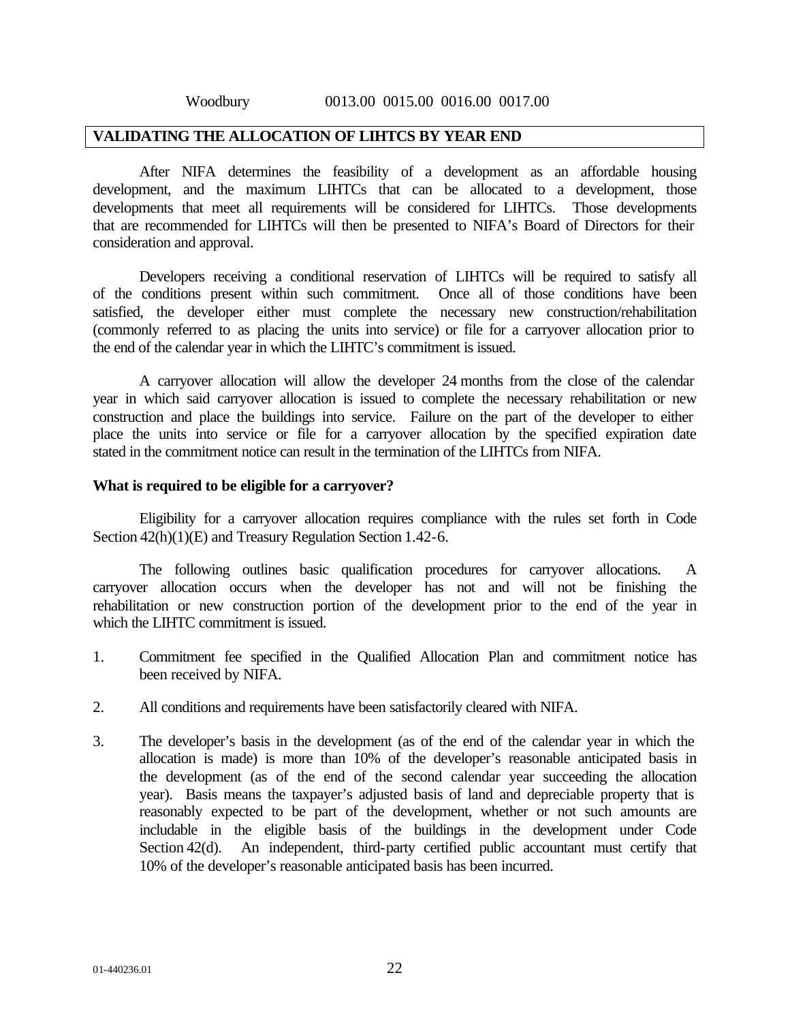#### **VALIDATING THE ALLOCATION OF LIHTCS BY YEAR END**

After NIFA determines the feasibility of a development as an affordable housing development, and the maximum LIHTCs that can be allocated to a development, those developments that meet all requirements will be considered for LIHTCs. Those developments that are recommended for LIHTCs will then be presented to NIFA's Board of Directors for their consideration and approval.

Developers receiving a conditional reservation of LIHTCs will be required to satisfy all of the conditions present within such commitment. Once all of those conditions have been satisfied, the developer either must complete the necessary new construction/rehabilitation (commonly referred to as placing the units into service) or file for a carryover allocation prior to the end of the calendar year in which the LIHTC's commitment is issued.

A carryover allocation will allow the developer 24 months from the close of the calendar year in which said carryover allocation is issued to complete the necessary rehabilitation or new construction and place the buildings into service. Failure on the part of the developer to either place the units into service or file for a carryover allocation by the specified expiration date stated in the commitment notice can result in the termination of the LIHTCs from NIFA.

#### **What is required to be eligible for a carryover?**

Eligibility for a carryover allocation requires compliance with the rules set forth in Code Section 42(h)(1)(E) and Treasury Regulation Section 1.42-6.

The following outlines basic qualification procedures for carryover allocations. A carryover allocation occurs when the developer has not and will not be finishing the rehabilitation or new construction portion of the development prior to the end of the year in which the LIHTC commitment is issued.

- 1. Commitment fee specified in the Qualified Allocation Plan and commitment notice has been received by NIFA.
- 2. All conditions and requirements have been satisfactorily cleared with NIFA.
- 3. The developer's basis in the development (as of the end of the calendar year in which the allocation is made) is more than 10% of the developer's reasonable anticipated basis in the development (as of the end of the second calendar year succeeding the allocation year). Basis means the taxpayer's adjusted basis of land and depreciable property that is reasonably expected to be part of the development, whether or not such amounts are includable in the eligible basis of the buildings in the development under Code Section 42(d). An independent, third-party certified public accountant must certify that 10% of the developer's reasonable anticipated basis has been incurred.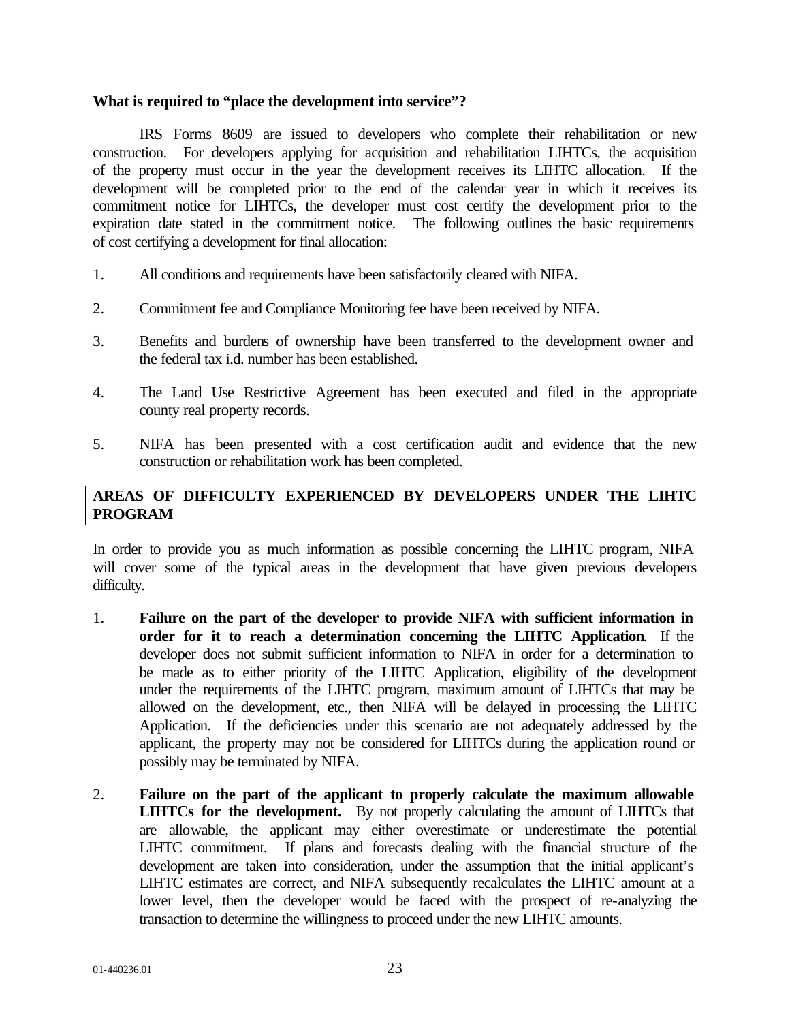#### **What is required to "place the development into service"?**

IRS Forms 8609 are issued to developers who complete their rehabilitation or new construction. For developers applying for acquisition and rehabilitation LIHTCs, the acquisition of the property must occur in the year the development receives its LIHTC allocation. If the development will be completed prior to the end of the calendar year in which it receives its commitment notice for LIHTCs, the developer must cost certify the development prior to the expiration date stated in the commitment notice. The following outlines the basic requirements of cost certifying a development for final allocation:

- 1. All conditions and requirements have been satisfactorily cleared with NIFA.
- 2. Commitment fee and Compliance Monitoring fee have been received by NIFA.
- 3. Benefits and burdens of ownership have been transferred to the development owner and the federal tax i.d. number has been established.
- 4. The Land Use Restrictive Agreement has been executed and filed in the appropriate county real property records.
- 5. NIFA has been presented with a cost certification audit and evidence that the new construction or rehabilitation work has been completed.

## **AREAS OF DIFFICULTY EXPERIENCED BY DEVELOPERS UNDER THE LIHTC PROGRAM**

In order to provide you as much information as possible concerning the LIHTC program, NIFA will cover some of the typical areas in the development that have given previous developers difficulty.

- 1. **Failure on the part of the developer to provide NIFA with sufficient information in order for it to reach a determination concerning the LIHTC Application**. If the developer does not submit sufficient information to NIFA in order for a determination to be made as to either priority of the LIHTC Application, eligibility of the development under the requirements of the LIHTC program, maximum amount of LIHTCs that may be allowed on the development, etc., then NIFA will be delayed in processing the LIHTC Application. If the deficiencies under this scenario are not adequately addressed by the applicant, the property may not be considered for LIHTCs during the application round or possibly may be terminated by NIFA.
- 2. **Failure on the part of the applicant to properly calculate the maximum allowable LIHTCs for the development.** By not properly calculating the amount of LIHTCs that are allowable, the applicant may either overestimate or underestimate the potential LIHTC commitment. If plans and forecasts dealing with the financial structure of the development are taken into consideration, under the assumption that the initial applicant's LIHTC estimates are correct, and NIFA subsequently recalculates the LIHTC amount at a lower level, then the developer would be faced with the prospect of re-analyzing the transaction to determine the willingness to proceed under the new LIHTC amounts.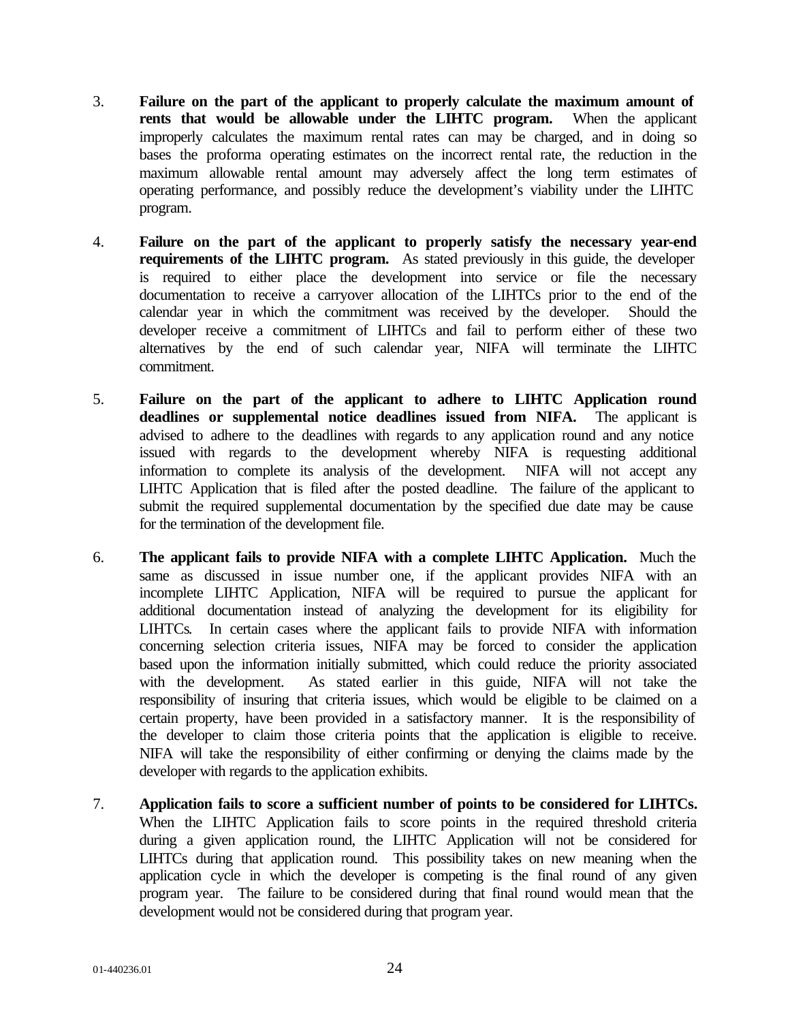- 3. **Failure on the part of the applicant to properly calculate the maximum amount of rents that would be allowable under the LIHTC program.** When the applicant improperly calculates the maximum rental rates can may be charged, and in doing so bases the proforma operating estimates on the incorrect rental rate, the reduction in the maximum allowable rental amount may adversely affect the long term estimates of operating performance, and possibly reduce the development's viability under the LIHTC program.
- 4. **Failure on the part of the applicant to properly satisfy the necessary year-end requirements of the LIHTC program.** As stated previously in this guide, the developer is required to either place the development into service or file the necessary documentation to receive a carryover allocation of the LIHTCs prior to the end of the calendar year in which the commitment was received by the developer. Should the developer receive a commitment of LIHTCs and fail to perform either of these two alternatives by the end of such calendar year, NIFA will terminate the LIHTC commitment.
- 5. **Failure on the part of the applicant to adhere to LIHTC Application round deadlines or supplemental notice deadlines issued from NIFA.** The applicant is advised to adhere to the deadlines with regards to any application round and any notice issued with regards to the development whereby NIFA is requesting additional information to complete its analysis of the development. NIFA will not accept any LIHTC Application that is filed after the posted deadline. The failure of the applicant to submit the required supplemental documentation by the specified due date may be cause for the termination of the development file.
- 6. **The applicant fails to provide NIFA with a complete LIHTC Application.** Much the same as discussed in issue number one, if the applicant provides NIFA with an incomplete LIHTC Application, NIFA will be required to pursue the applicant for additional documentation instead of analyzing the development for its eligibility for LIHTCs. In certain cases where the applicant fails to provide NIFA with information concerning selection criteria issues, NIFA may be forced to consider the application based upon the information initially submitted, which could reduce the priority associated with the development. As stated earlier in this guide, NIFA will not take the responsibility of insuring that criteria issues, which would be eligible to be claimed on a certain property, have been provided in a satisfactory manner. It is the responsibility of the developer to claim those criteria points that the application is eligible to receive. NIFA will take the responsibility of either confirming or denying the claims made by the developer with regards to the application exhibits.
- 7. **Application fails to score a sufficient number of points to be considered for LIHTCs.** When the LIHTC Application fails to score points in the required threshold criteria during a given application round, the LIHTC Application will not be considered for LIHTCs during that application round. This possibility takes on new meaning when the application cycle in which the developer is competing is the final round of any given program year. The failure to be considered during that final round would mean that the development would not be considered during that program year.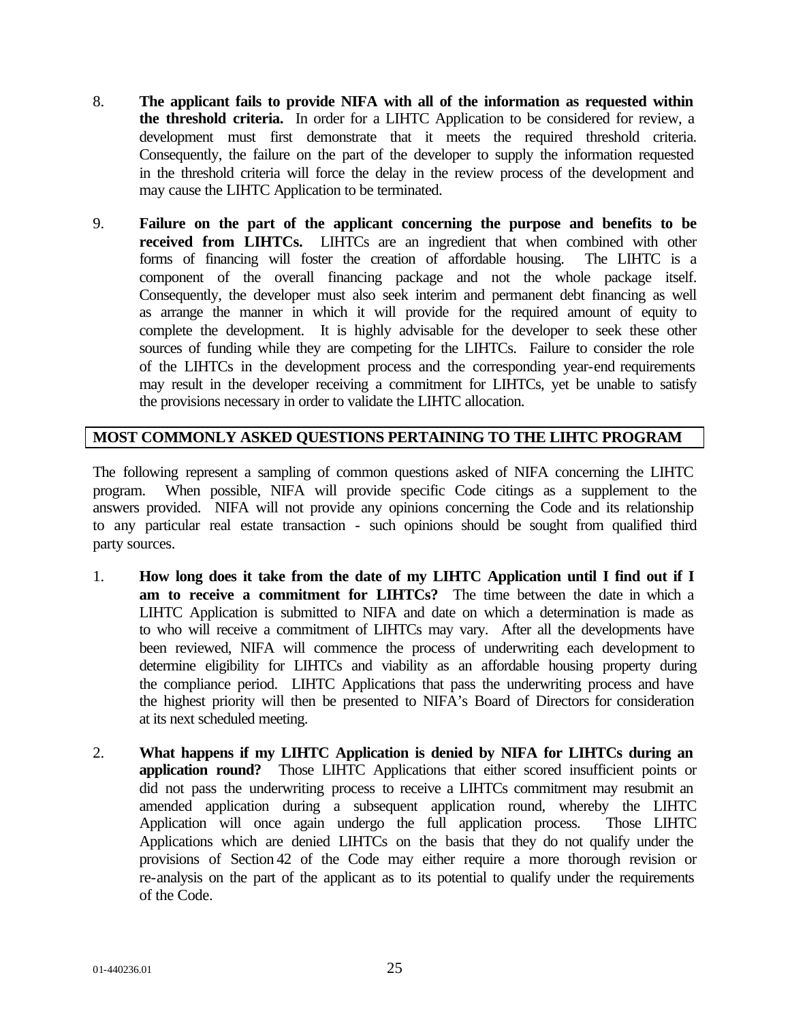- 8. **The applicant fails to provide NIFA with all of the information as requested within the threshold criteria.** In order for a LIHTC Application to be considered for review, a development must first demonstrate that it meets the required threshold criteria. Consequently, the failure on the part of the developer to supply the information requested in the threshold criteria will force the delay in the review process of the development and may cause the LIHTC Application to be terminated.
- 9. **Failure on the part of the applicant concerning the purpose and benefits to be received from LIHTCs.** LIHTCs are an ingredient that when combined with other forms of financing will foster the creation of affordable housing. The LIHTC is a component of the overall financing package and not the whole package itself. Consequently, the developer must also seek interim and permanent debt financing as well as arrange the manner in which it will provide for the required amount of equity to complete the development. It is highly advisable for the developer to seek these other sources of funding while they are competing for the LIHTCs. Failure to consider the role of the LIHTCs in the development process and the corresponding year-end requirements may result in the developer receiving a commitment for LIHTCs, yet be unable to satisfy the provisions necessary in order to validate the LIHTC allocation.

## **MOST COMMONLY ASKED QUESTIONS PERTAINING TO THE LIHTC PROGRAM**

The following represent a sampling of common questions asked of NIFA concerning the LIHTC program. When possible, NIFA will provide specific Code citings as a supplement to the answers provided. NIFA will not provide any opinions concerning the Code and its relationship to any particular real estate transaction - such opinions should be sought from qualified third party sources.

- 1. **How long does it take from the date of my LIHTC Application until I find out if I am to receive a commitment for LIHTCs?** The time between the date in which a LIHTC Application is submitted to NIFA and date on which a determination is made as to who will receive a commitment of LIHTCs may vary. After all the developments have been reviewed, NIFA will commence the process of underwriting each development to determine eligibility for LIHTCs and viability as an affordable housing property during the compliance period. LIHTC Applications that pass the underwriting process and have the highest priority will then be presented to NIFA's Board of Directors for consideration at its next scheduled meeting.
- 2. **What happens if my LIHTC Application is denied by NIFA for LIHTCs during an application round?** Those LIHTC Applications that either scored insufficient points or did not pass the underwriting process to receive a LIHTCs commitment may resubmit an amended application during a subsequent application round, whereby the LIHTC Application will once again undergo the full application process. Those LIHTC Applications which are denied LIHTCs on the basis that they do not qualify under the provisions of Section 42 of the Code may either require a more thorough revision or re-analysis on the part of the applicant as to its potential to qualify under the requirements of the Code.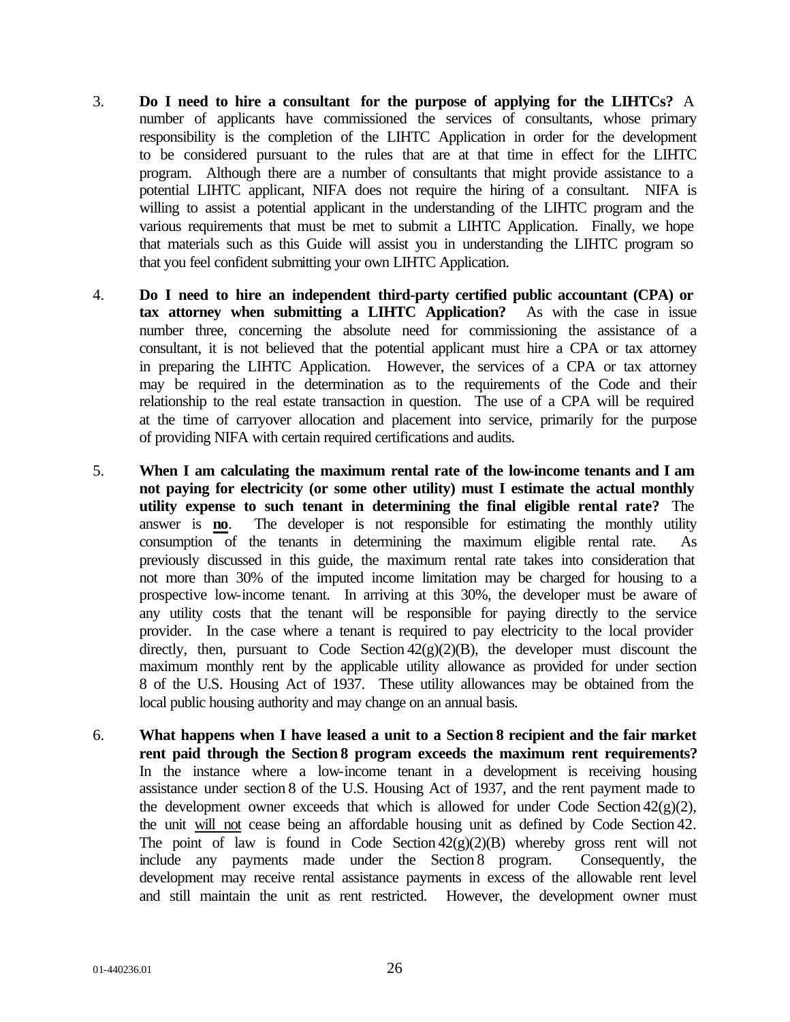- 3. **Do I need to hire a consultant for the purpose of applying for the LIHTCs?** A number of applicants have commissioned the services of consultants, whose primary responsibility is the completion of the LIHTC Application in order for the development to be considered pursuant to the rules that are at that time in effect for the LIHTC program. Although there are a number of consultants that might provide assistance to a potential LIHTC applicant, NIFA does not require the hiring of a consultant. NIFA is willing to assist a potential applicant in the understanding of the LIHTC program and the various requirements that must be met to submit a LIHTC Application. Finally, we hope that materials such as this Guide will assist you in understanding the LIHTC program so that you feel confident submitting your own LIHTC Application.
- 4. **Do I need to hire an independent third-party certified public accountant (CPA) or tax attorney when submitting a LIHTC Application?** As with the case in issue number three, concerning the absolute need for commissioning the assistance of a consultant, it is not believed that the potential applicant must hire a CPA or tax attorney in preparing the LIHTC Application. However, the services of a CPA or tax attorney may be required in the determination as to the requirements of the Code and their relationship to the real estate transaction in question. The use of a CPA will be required at the time of carryover allocation and placement into service, primarily for the purpose of providing NIFA with certain required certifications and audits.
- 5. **When I am calculating the maximum rental rate of the low-income tenants and I am not paying for electricity (or some other utility) must I estimate the actual monthly utility expense to such tenant in determining the final eligible rental rate?** The answer is **no**. The developer is not responsible for estimating the monthly utility consumption of the tenants in determining the maximum eligible rental rate. As previously discussed in this guide, the maximum rental rate takes into consideration that not more than 30% of the imputed income limitation may be charged for housing to a prospective low-income tenant. In arriving at this 30%, the developer must be aware of any utility costs that the tenant will be responsible for paying directly to the service provider. In the case where a tenant is required to pay electricity to the local provider directly, then, pursuant to Code Section  $42(g)(2)(B)$ , the developer must discount the maximum monthly rent by the applicable utility allowance as provided for under section 8 of the U.S. Housing Act of 1937. These utility allowances may be obtained from the local public housing authority and may change on an annual basis.
- 6. **What happens when I have leased a unit to a Section 8 recipient and the fair market rent paid through the Section 8 program exceeds the maximum rent requirements?** In the instance where a low-income tenant in a development is receiving housing assistance under section 8 of the U.S. Housing Act of 1937, and the rent payment made to the development owner exceeds that which is allowed for under Code Section  $42(g)(2)$ , the unit will not cease being an affordable housing unit as defined by Code Section 42. The point of law is found in Code Section  $42(g)(2)(B)$  whereby gross rent will not include any payments made under the Section 8 program. Consequently, the development may receive rental assistance payments in excess of the allowable rent level and still maintain the unit as rent restricted. However, the development owner must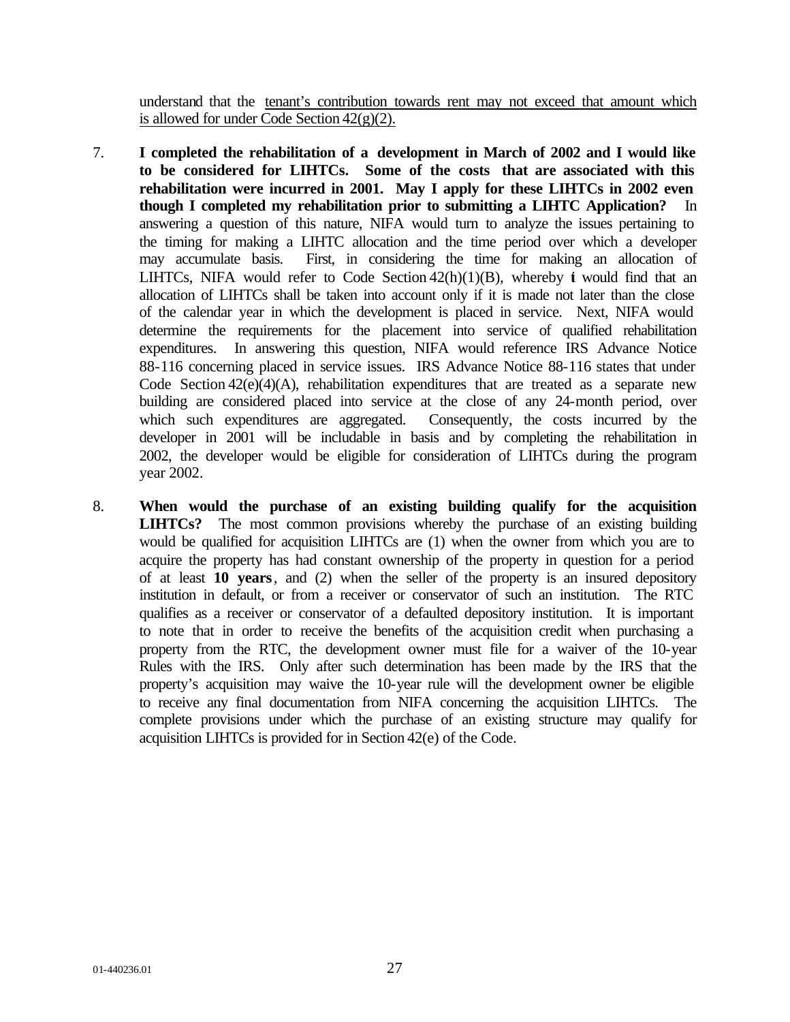understand that the tenant's contribution towards rent may not exceed that amount which is allowed for under Code Section  $42(g)(2)$ .

- 7. **I completed the rehabilitation of a development in March of 2002 and I would like to be considered for LIHTCs. Some of the costs that are associated with this rehabilitation were incurred in 2001. May I apply for these LIHTCs in 2002 even though I completed my rehabilitation prior to submitting a LIHTC Application?** In answering a question of this nature, NIFA would turn to analyze the issues pertaining to the timing for making a LIHTC allocation and the time period over which a developer may accumulate basis. First, in considering the time for making an allocation of LIHTCs. NIFA would refer to Code Section  $42(h)(1)(B)$ , whereby i would find that an allocation of LIHTCs shall be taken into account only if it is made not later than the close of the calendar year in which the development is placed in service. Next, NIFA would determine the requirements for the placement into service of qualified rehabilitation expenditures. In answering this question, NIFA would reference IRS Advance Notice 88-116 concerning placed in service issues. IRS Advance Notice 88-116 states that under Code Section  $42(e)(4)(A)$ , rehabilitation expenditures that are treated as a separate new building are considered placed into service at the close of any 24-month period, over which such expenditures are aggregated. Consequently, the costs incurred by the developer in 2001 will be includable in basis and by completing the rehabilitation in 2002, the developer would be eligible for consideration of LIHTCs during the program year 2002.
- 8. **When would the purchase of an existing building qualify for the acquisition LIHTCs?** The most common provisions whereby the purchase of an existing building would be qualified for acquisition LIHTCs are (1) when the owner from which you are to acquire the property has had constant ownership of the property in question for a period of at least **10 years**, and (2) when the seller of the property is an insured depository institution in default, or from a receiver or conservator of such an institution. The RTC qualifies as a receiver or conservator of a defaulted depository institution. It is important to note that in order to receive the benefits of the acquisition credit when purchasing a property from the RTC, the development owner must file for a waiver of the 10-year Rules with the IRS. Only after such determination has been made by the IRS that the property's acquisition may waive the 10-year rule will the development owner be eligible to receive any final documentation from NIFA concerning the acquisition LIHTCs. The complete provisions under which the purchase of an existing structure may qualify for acquisition LIHTCs is provided for in Section 42(e) of the Code.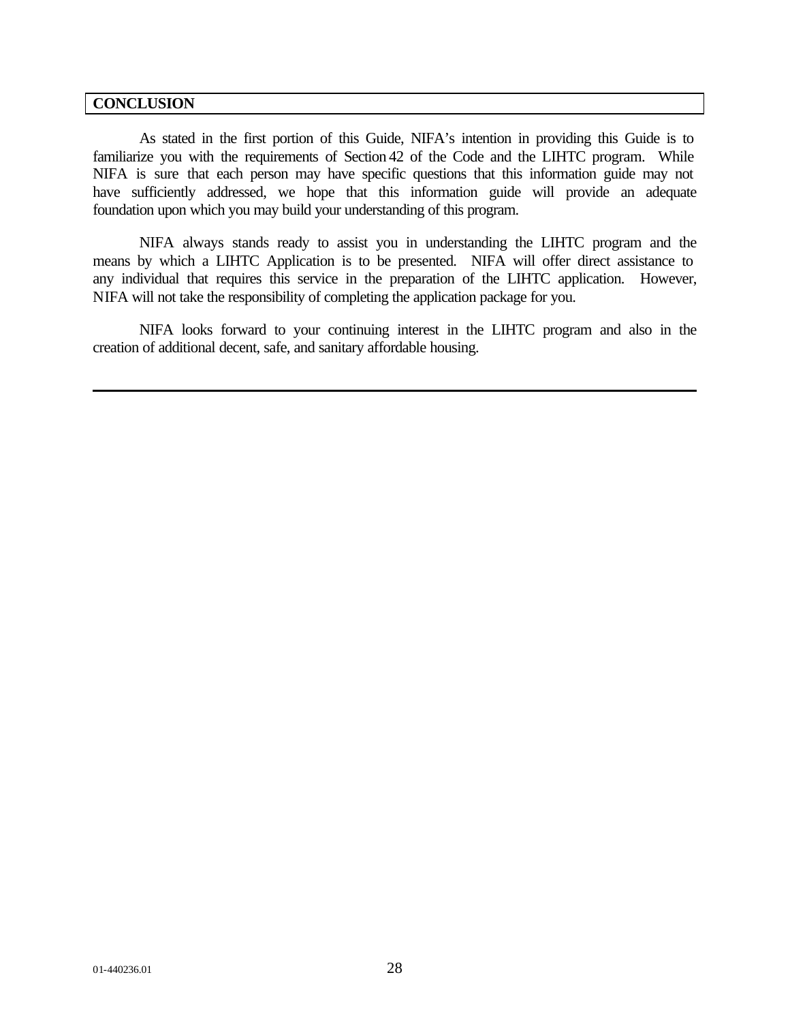#### **CONCLUSION**

As stated in the first portion of this Guide, NIFA's intention in providing this Guide is to familiarize you with the requirements of Section 42 of the Code and the LIHTC program. While NIFA is sure that each person may have specific questions that this information guide may not have sufficiently addressed, we hope that this information guide will provide an adequate foundation upon which you may build your understanding of this program.

NIFA always stands ready to assist you in understanding the LIHTC program and the means by which a LIHTC Application is to be presented. NIFA will offer direct assistance to any individual that requires this service in the preparation of the LIHTC application. However, NIFA will not take the responsibility of completing the application package for you.

NIFA looks forward to your continuing interest in the LIHTC program and also in the creation of additional decent, safe, and sanitary affordable housing.